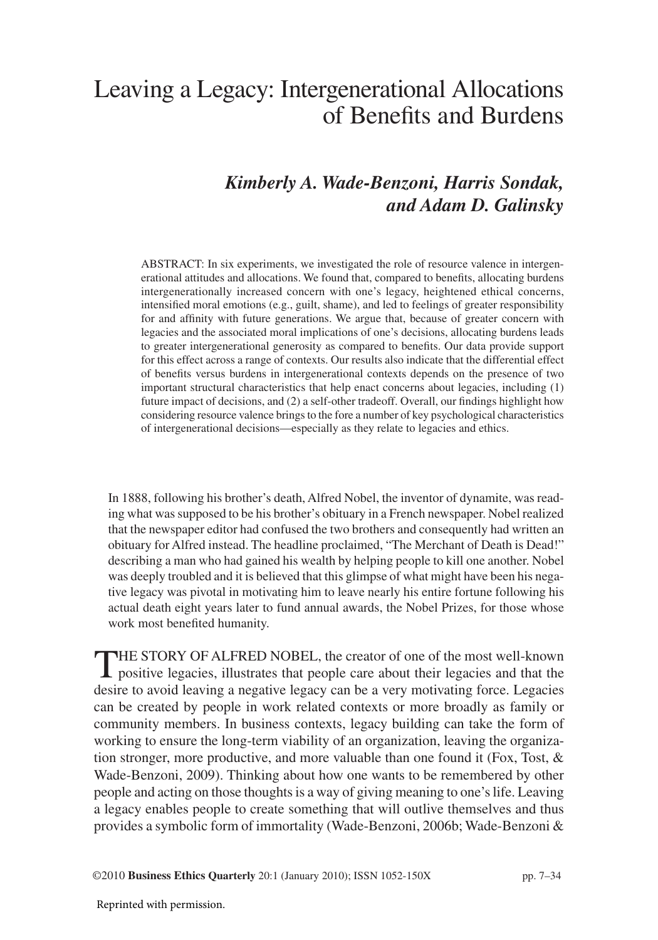# Leaving a Legacy: Intergenerational Allocations of Benefits and Burdens

# *Kimberly A. Wade-Benzoni, Harris Sondak, and Adam D. Galinsky*

ABSTRACT: In six experiments, we investigated the role of resource valence in intergenerational attitudes and allocations. We found that, compared to benefits, allocating burdens intergenerationally increased concern with one's legacy, heightened ethical concerns, intensified moral emotions (e.g., guilt, shame), and led to feelings of greater responsibility for and affinity with future generations. We argue that, because of greater concern with legacies and the associated moral implications of one's decisions, allocating burdens leads to greater intergenerational generosity as compared to benefits. Our data provide support for this effect across a range of contexts. Our results also indicate that the differential effect of benefits versus burdens in intergenerational contexts depends on the presence of two important structural characteristics that help enact concerns about legacies, including (1) future impact of decisions, and (2) a self-other tradeoff. Overall, our findings highlight how considering resource valence brings to the fore a number of key psychological characteristics of intergenerational decisions—especially as they relate to legacies and ethics.

In 1888, following his brother's death, Alfred Nobel, the inventor of dynamite, was reading what was supposed to be his brother's obituary in a French newspaper. Nobel realized that the newspaper editor had confused the two brothers and consequently had written an obituary for Alfred instead. The headline proclaimed, "The Merchant of Death is Dead!" describing a man who had gained his wealth by helping people to kill one another. Nobel was deeply troubled and it is believed that this glimpse of what might have been his negative legacy was pivotal in motivating him to leave nearly his entire fortune following his actual death eight years later to fund annual awards, the Nobel Prizes, for those whose work most benefited humanity.

THE STORY OF ALFRED NOBEL, the creator of one of the most well-known positive legacies, illustrates that people care about their legacies and that the desire to avoid leaving a negative legacy can be a very motivating force. Legacies can be created by people in work related contexts or more broadly as family or community members. In business contexts, legacy building can take the form of working to ensure the long-term viability of an organization, leaving the organization stronger, more productive, and more valuable than one found it (Fox, Tost,  $\&$ Wade-Benzoni, 2009). Thinking about how one wants to be remembered by other people and acting on those thoughts is a way of giving meaning to one's life. Leaving a legacy enables people to create something that will outlive themselves and thus provides a symbolic form of immortality (Wade-Benzoni, 2006b; Wade-Benzoni &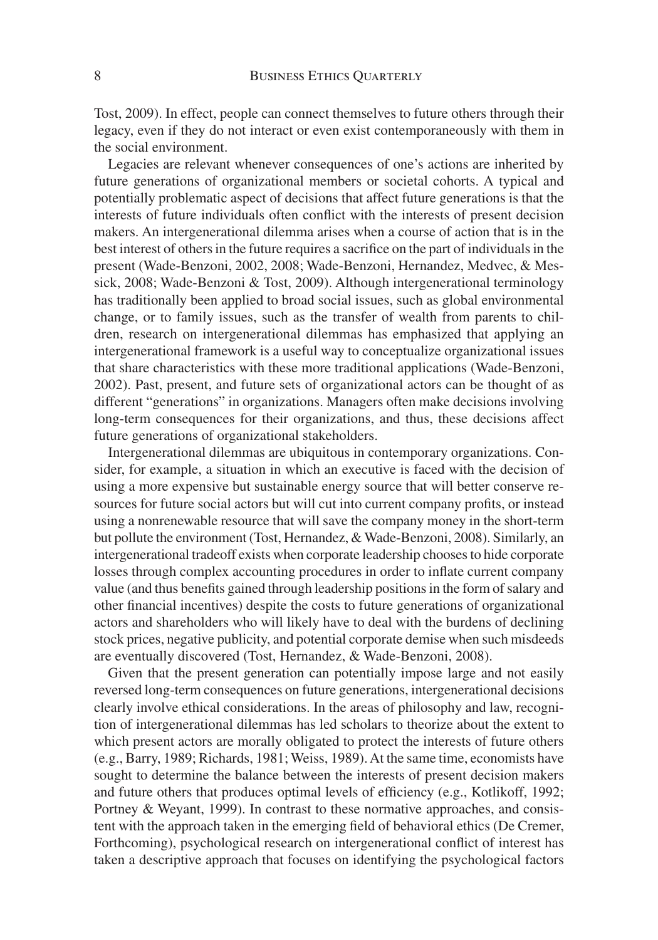Tost, 2009). In effect, people can connect themselves to future others through their legacy, even if they do not interact or even exist contemporaneously with them in the social environment.

Legacies are relevant whenever consequences of one's actions are inherited by future generations of organizational members or societal cohorts. A typical and potentially problematic aspect of decisions that affect future generations is that the interests of future individuals often conflict with the interests of present decision makers. An intergenerational dilemma arises when a course of action that is in the best interest of others in the future requires a sacrifice on the part of individuals in the present (Wade-Benzoni, 2002, 2008; Wade-Benzoni, Hernandez, Medvec, & Messick, 2008; Wade-Benzoni & Tost, 2009). Although intergenerational terminology has traditionally been applied to broad social issues, such as global environmental change, or to family issues, such as the transfer of wealth from parents to children, research on intergenerational dilemmas has emphasized that applying an intergenerational framework is a useful way to conceptualize organizational issues that share characteristics with these more traditional applications (Wade-Benzoni, 2002). Past, present, and future sets of organizational actors can be thought of as different "generations" in organizations. Managers often make decisions involving long-term consequences for their organizations, and thus, these decisions affect future generations of organizational stakeholders.

Intergenerational dilemmas are ubiquitous in contemporary organizations. Consider, for example, a situation in which an executive is faced with the decision of using a more expensive but sustainable energy source that will better conserve resources for future social actors but will cut into current company profits, or instead using a nonrenewable resource that will save the company money in the short-term but pollute the environment (Tost, Hernandez, & Wade-Benzoni, 2008). Similarly, an intergenerational tradeoff exists when corporate leadership chooses to hide corporate losses through complex accounting procedures in order to inflate current company value (and thus benefits gained through leadership positions in the form of salary and other financial incentives) despite the costs to future generations of organizational actors and shareholders who will likely have to deal with the burdens of declining stock prices, negative publicity, and potential corporate demise when such misdeeds are eventually discovered (Tost, Hernandez, & Wade-Benzoni, 2008).

Given that the present generation can potentially impose large and not easily reversed long-term consequences on future generations, intergenerational decisions clearly involve ethical considerations. In the areas of philosophy and law, recognition of intergenerational dilemmas has led scholars to theorize about the extent to which present actors are morally obligated to protect the interests of future others (e.g., Barry, 1989; Richards, 1981; Weiss, 1989). At the same time, economists have sought to determine the balance between the interests of present decision makers and future others that produces optimal levels of efficiency (e.g., Kotlikoff, 1992; Portney & Weyant, 1999). In contrast to these normative approaches, and consistent with the approach taken in the emerging field of behavioral ethics (De Cremer, Forthcoming), psychological research on intergenerational conflict of interest has taken a descriptive approach that focuses on identifying the psychological factors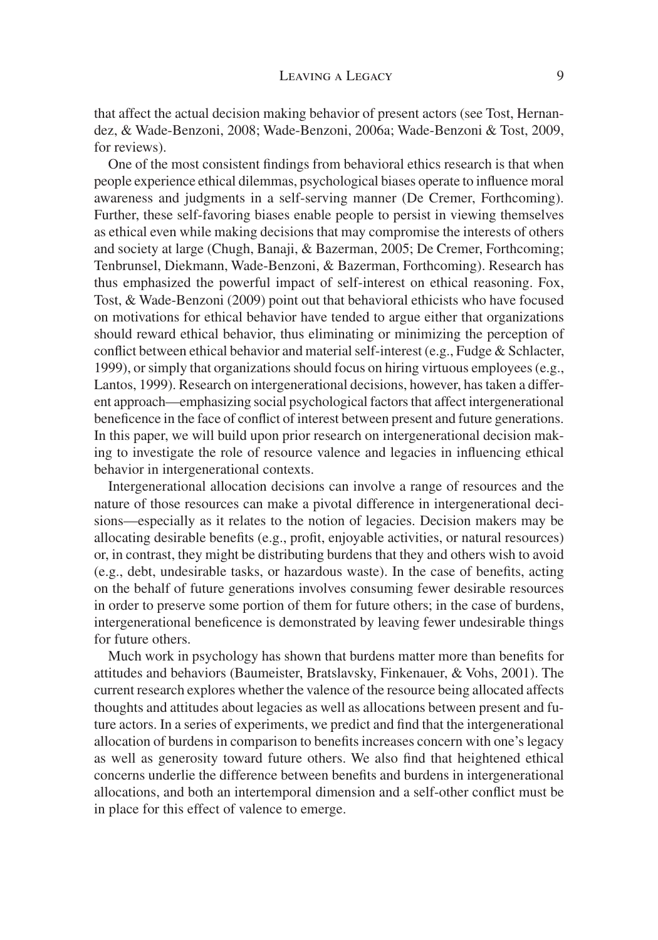that affect the actual decision making behavior of present actors (see Tost, Hernandez, & Wade-Benzoni, 2008; Wade-Benzoni, 2006a; Wade-Benzoni & Tost, 2009, for reviews).

One of the most consistent findings from behavioral ethics research is that when people experience ethical dilemmas, psychological biases operate to influence moral awareness and judgments in a self-serving manner (De Cremer, Forthcoming). Further, these self-favoring biases enable people to persist in viewing themselves as ethical even while making decisions that may compromise the interests of others and society at large (Chugh, Banaji, & Bazerman, 2005; De Cremer, Forthcoming; Tenbrunsel, Diekmann, Wade-Benzoni, & Bazerman, Forthcoming). Research has thus emphasized the powerful impact of self-interest on ethical reasoning. Fox, Tost, & Wade-Benzoni (2009) point out that behavioral ethicists who have focused on motivations for ethical behavior have tended to argue either that organizations should reward ethical behavior, thus eliminating or minimizing the perception of conflict between ethical behavior and material self-interest (e.g., Fudge  $&$  Schlacter, 1999), or simply that organizations should focus on hiring virtuous employees (e.g., Lantos, 1999). Research on intergenerational decisions, however, has taken a different approach—emphasizing social psychological factors that affect intergenerational bene ficence in the face of conflict of interest between present and future generations. In this paper, we will build upon prior research on intergenerational decision making to investigate the role of resource valence and legacies in influencing ethical behavior in intergenerational contexts.

Intergenerational allocation decisions can involve a range of resources and the nature of those resources can make a pivotal difference in intergenerational decisions—especially as it relates to the notion of legacies. Decision makers may be allocating desirable benefits (e.g., profit, enjoyable activities, or natural resources) or, in contrast, they might be distributing burdens that they and others wish to avoid  $(e.g., debt, undesirable tasks, or hazardous waste)$ . In the case of benefits, acting on the behalf of future generations involves consuming fewer desirable resources in order to preserve some portion of them for future others; in the case of burdens, intergenerational beneficence is demonstrated by leaving fewer undesirable things for future others.

Much work in psychology has shown that burdens matter more than benefits for attitudes and behaviors (Baumeister, Bratslavsky, Finkenauer, & Vohs, 2001). The current research explores whether the valence of the resource being allocated affects thoughts and attitudes about legacies as well as allocations between present and future actors. In a series of experiments, we predict and find that the intergenerational allocation of burdens in comparison to benefits increases concern with one's legacy as well as generosity toward future others. We also find that heightened ethical concerns underlie the difference between benefits and burdens in intergenerational allocations, and both an intertemporal dimension and a self-other conflict must be in place for this effect of valence to emerge.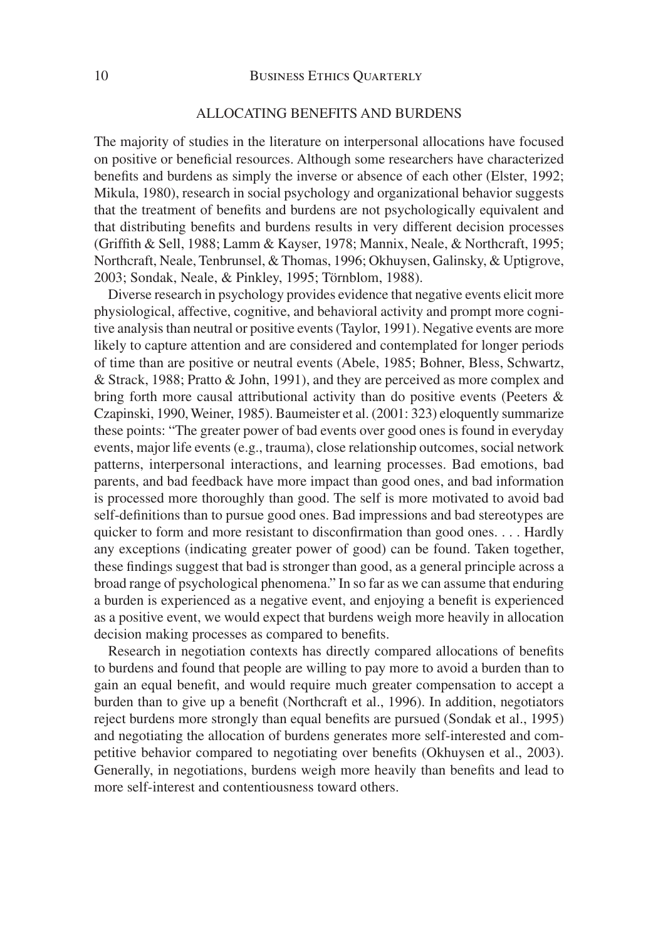#### ALLOCATING BENEFITS AND BURDENS

The majority of studies in the literature on interpersonal allocations have focused on positive or beneficial resources. Although some researchers have characterized benefits and burdens as simply the inverse or absence of each other (Elster, 1992; Mikula, 1980), research in social psychology and organizational behavior suggests that the treatment of benefits and burdens are not psychologically equivalent and that distributing benefits and burdens results in very different decision processes (Griffith & Sell, 1988; Lamm & Kayser, 1978; Mannix, Neale, & Northcraft, 1995; Northcraft, Neale, Tenbrunsel, & Thomas, 1996; Okhuysen, Galinsky, & Uptigrove, 2003; Sondak, Neale, & Pinkley, 1995; Törnblom, 1988).

Diverse research in psychology provides evidence that negative events elicit more physiological, affective, cognitive, and behavioral activity and prompt more cognitive analysis than neutral or positive events (Taylor, 1991). Negative events are more likely to capture attention and are considered and contemplated for longer periods of time than are positive or neutral events (Abele, 1985; Bohner, Bless, Schwartz, & Strack, 1988; Pratto & John, 1991), and they are perceived as more complex and bring forth more causal attributional activity than do positive events (Peeters & Czapinski, 1990, Weiner, 1985). Baumeister et al. (2001: 323) eloquently summarize these points: "The greater power of bad events over good ones is found in everyday events, major life events (e.g., trauma), close relationship outcomes, social network patterns, interpersonal interactions, and learning processes. Bad emotions, bad parents, and bad feedback have more impact than good ones, and bad information is processed more thoroughly than good. The self is more motivated to avoid bad self-definitions than to pursue good ones. Bad impressions and bad stereotypes are quicker to form and more resistant to disconfirmation than good ones.  $\dots$  Hardly any exceptions (indicating greater power of good) can be found. Taken together, these findings suggest that bad is stronger than good, as a general principle across a broad range of psychological phenomena." In so far as we can assume that enduring a burden is experienced as a negative event, and enjoying a benefit is experienced as a positive event, we would expect that burdens weigh more heavily in allocation decision making processes as compared to benefits.

Research in negotiation contexts has directly compared allocations of benefits to burdens and found that people are willing to pay more to avoid a burden than to gain an equal benefit, and would require much greater compensation to accept a burden than to give up a benefit (Northcraft et al., 1996). In addition, negotiators reject burdens more strongly than equal benefits are pursued (Sondak et al., 1995) and negotiating the allocation of burdens generates more self-interested and competitive behavior compared to negotiating over benefits (Okhuysen et al., 2003). Generally, in negotiations, burdens weigh more heavily than benefits and lead to more self-interest and contentiousness toward others.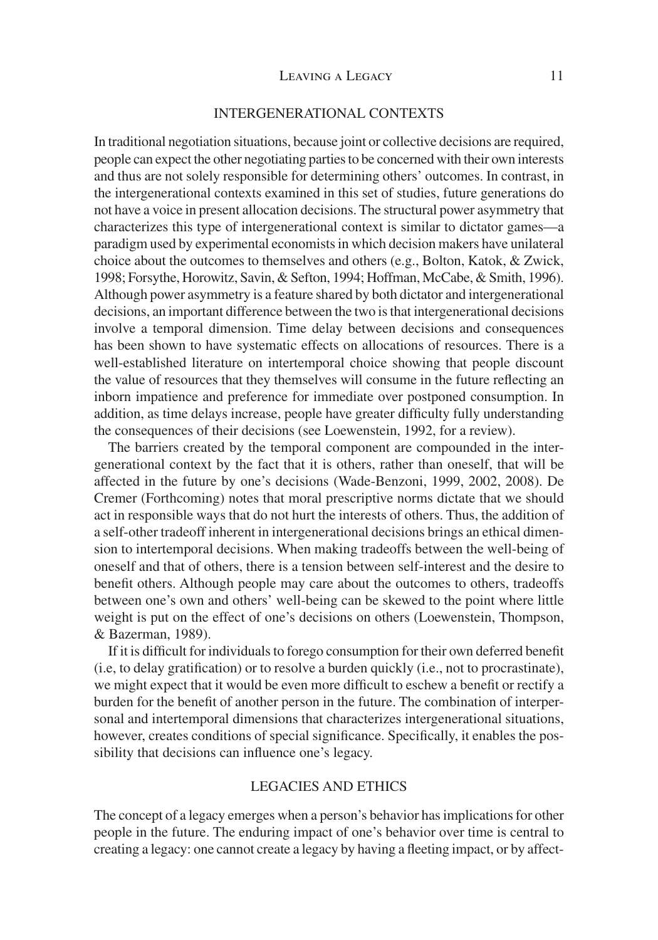#### INTERGENERATIONAL CONTEXTS

In traditional negotiation situations, because joint or collective decisions are required, people can expect the other negotiating parties to be concerned with their own interests and thus are not solely responsible for determining others' outcomes. In contrast, in the intergenerational contexts examined in this set of studies, future generations do not have a voice in present allocation decisions. The structural power asymmetry that characterizes this type of intergenerational context is similar to dictator games—a paradigm used by experimental economists in which decision makers have unilateral choice about the outcomes to themselves and others (e.g., Bolton, Katok, & Zwick, 1998; Forsythe, Horowitz, Savin, & Sefton, 1994; Hoffman, McCabe, & Smith, 1996). Although power asymmetry is a feature shared by both dictator and intergenerational decisions, an important difference between the two is that intergenerational decisions involve a temporal dimension. Time delay between decisions and consequences has been shown to have systematic effects on allocations of resources. There is a well-established literature on intertemporal choice showing that people discount the value of resources that they themselves will consume in the future reflecting an inborn impatience and preference for immediate over postponed consumption. In addition, as time delays increase, people have greater difficulty fully understanding the consequences of their decisions (see Loewenstein, 1992, for a review).

The barriers created by the temporal component are compounded in the intergenerational context by the fact that it is others, rather than oneself, that will be affected in the future by one's decisions (Wade-Benzoni, 1999, 2002, 2008). De Cremer (Forthcoming) notes that moral prescriptive norms dictate that we should act in responsible ways that do not hurt the interests of others. Thus, the addition of a self-other tradeoff inherent in intergenerational decisions brings an ethical dimension to intertemporal decisions. When making tradeoffs between the well-being of oneself and that of others, there is a tension between self-interest and the desire to benefit others. Although people may care about the outcomes to others, tradeoffs between one's own and others' well-being can be skewed to the point where little weight is put on the effect of one's decisions on others (Loewenstein, Thompson, & Bazerman, 1989).

If it is difficult for individuals to forego consumption for their own deferred benefit  $(i.e., to delay gratification)$  or to resolve a burden quickly  $(i.e., not to procrastinate)$ , we might expect that it would be even more difficult to eschew a benefit or rectify a burden for the benefit of another person in the future. The combination of interpersonal and intertemporal dimensions that characterizes intergenerational situations, however, creates conditions of special significance. Specifically, it enables the possibility that decisions can influence one's legacy.

# LEGACIES AND ETHICS

The concept of a legacy emerges when a person's behavior has implications for other people in the future. The enduring impact of one's behavior over time is central to creating a legacy: one cannot create a legacy by having a fleeting impact, or by affect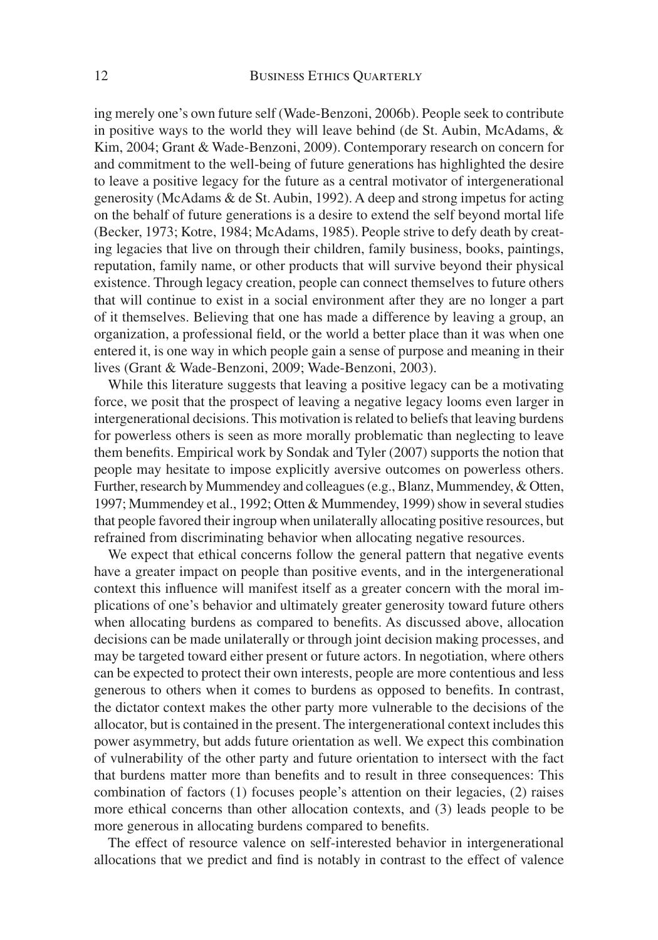ing merely one's own future self (Wade-Benzoni, 2006b). People seek to contribute in positive ways to the world they will leave behind (de St. Aubin, McAdams, & Kim, 2004; Grant & Wade-Benzoni, 2009). Contemporary research on concern for and commitment to the well-being of future generations has highlighted the desire to leave a positive legacy for the future as a central motivator of intergenerational generosity (McAdams & de St. Aubin, 1992). A deep and strong impetus for acting on the behalf of future generations is a desire to extend the self beyond mortal life (Becker, 1973; Kotre, 1984; McAdams, 1985). People strive to defy death by creating legacies that live on through their children, family business, books, paintings, reputation, family name, or other products that will survive beyond their physical existence. Through legacy creation, people can connect themselves to future others that will continue to exist in a social environment after they are no longer a part of it themselves. Believing that one has made a difference by leaving a group, an organization, a professional field, or the world a better place than it was when one entered it, is one way in which people gain a sense of purpose and meaning in their lives (Grant & Wade-Benzoni, 2009; Wade-Benzoni, 2003).

While this literature suggests that leaving a positive legacy can be a motivating force, we posit that the prospect of leaving a negative legacy looms even larger in intergenerational decisions. This motivation is related to beliefs that leaving burdens for powerless others is seen as more morally problematic than neglecting to leave them benefits. Empirical work by Sondak and Tyler (2007) supports the notion that people may hesitate to impose explicitly aversive outcomes on powerless others. Further, research by Mummendey and colleagues (e.g., Blanz, Mummendey, & Otten, 1997; Mummendey et al., 1992; Otten & Mummendey, 1999) show in several studies that people favored their ingroup when unilaterally allocating positive resources, but refrained from discriminating behavior when allocating negative resources.

We expect that ethical concerns follow the general pattern that negative events have a greater impact on people than positive events, and in the intergenerational context this influence will manifest itself as a greater concern with the moral implications of one's behavior and ultimately greater generosity toward future others when allocating burdens as compared to benefits. As discussed above, allocation decisions can be made unilaterally or through joint decision making processes, and may be targeted toward either present or future actors. In negotiation, where others can be expected to protect their own interests, people are more contentious and less generous to others when it comes to burdens as opposed to benefits. In contrast, the dictator context makes the other party more vulnerable to the decisions of the allocator, but is contained in the present. The intergenerational context includes this power asymmetry, but adds future orientation as well. We expect this combination of vulnerability of the other party and future orientation to intersect with the fact that burdens matter more than benefits and to result in three consequences: This combination of factors (1) focuses people's attention on their legacies, (2) raises more ethical concerns than other allocation contexts, and (3) leads people to be more generous in allocating burdens compared to benefits.

The effect of resource valence on self-interested behavior in intergenerational allocations that we predict and find is notably in contrast to the effect of valence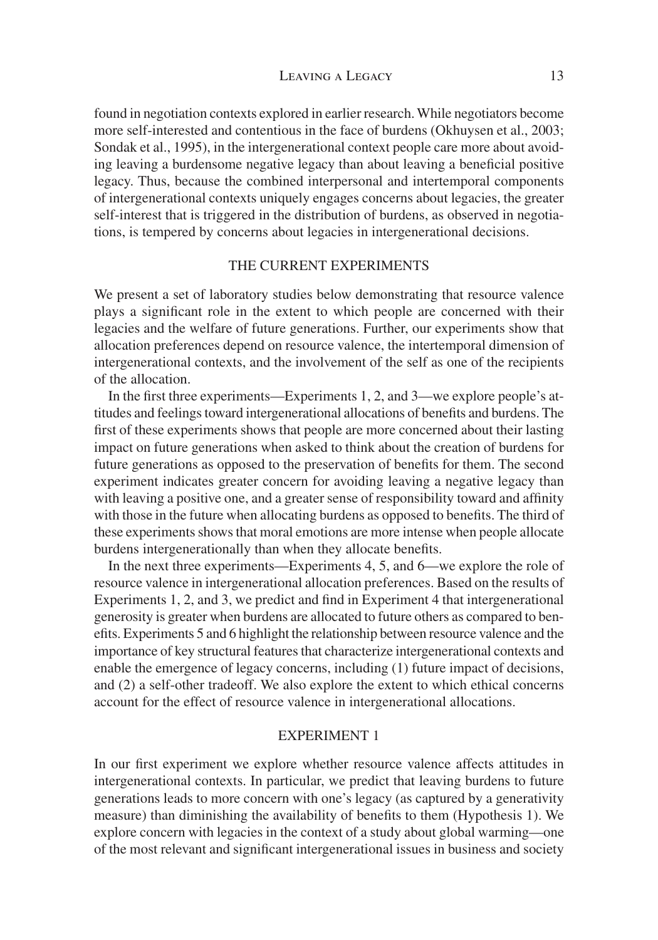found in negotiation contexts explored in earlier research. While negotiators become more self-interested and contentious in the face of burdens (Okhuysen et al., 2003; Sondak et al., 1995), in the intergenerational context people care more about avoiding leaving a burdensome negative legacy than about leaving a beneficial positive legacy. Thus, because the combined interpersonal and intertemporal components of intergenerational contexts uniquely engages concerns about legacies, the greater self-interest that is triggered in the distribution of burdens, as observed in negotiations, is tempered by concerns about legacies in intergenerational decisions.

# THE CURRENT EXPERIMENTS

We present a set of laboratory studies below demonstrating that resource valence plays a significant role in the extent to which people are concerned with their legacies and the welfare of future generations. Further, our experiments show that allocation preferences depend on resource valence, the intertemporal dimension of intergenerational contexts, and the involvement of the self as one of the recipients of the allocation.

In the first three experiments—Experiments 1, 2, and 3—we explore people's attitudes and feelings toward intergenerational allocations of benefits and burdens. The first of these experiments shows that people are more concerned about their lasting impact on future generations when asked to think about the creation of burdens for future generations as opposed to the preservation of benefits for them. The second experiment indicates greater concern for avoiding leaving a negative legacy than with leaving a positive one, and a greater sense of responsibility toward and affinity with those in the future when allocating burdens as opposed to benefits. The third of these experiments shows that moral emotions are more intense when people allocate burdens intergenerationally than when they allocate benefits.

In the next three experiments—Experiments 4, 5, and 6—we explore the role of resource valence in intergenerational allocation preferences. Based on the results of Experiments 1, 2, and 3, we predict and find in Experiment 4 that intergenerational generosity is greater when burdens are allocated to future others as compared to benefits. Experiments 5 and 6 highlight the relationship between resource valence and the importance of key structural features that characterize intergenerational contexts and enable the emergence of legacy concerns, including (1) future impact of decisions, and (2) a self-other tradeoff. We also explore the extent to which ethical concerns account for the effect of resource valence in intergenerational allocations.

# EXPERIMENT 1

In our first experiment we explore whether resource valence affects attitudes in intergenerational contexts. In particular, we predict that leaving burdens to future generations leads to more concern with one's legacy (as captured by a generativity measure) than diminishing the availability of benefits to them (Hypothesis 1). We explore concern with legacies in the context of a study about global warming—one of the most relevant and significant intergenerational issues in business and society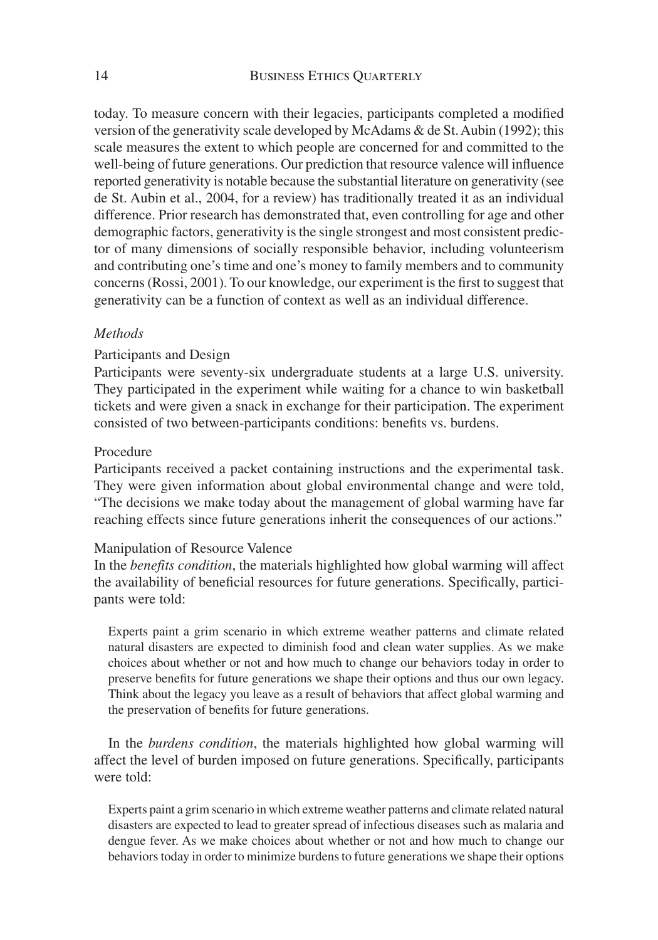today. To measure concern with their legacies, participants completed a modified version of the generativity scale developed by McAdams & de St. Aubin (1992); this scale measures the extent to which people are concerned for and committed to the well-being of future generations. Our prediction that resource valence will influence reported generativity is notable because the substantial literature on generativity (see de St. Aubin et al., 2004, for a review) has traditionally treated it as an individual difference. Prior research has demonstrated that, even controlling for age and other demographic factors, generativity is the single strongest and most consistent predictor of many dimensions of socially responsible behavior, including volunteerism and contributing one's time and one's money to family members and to community concerns (Rossi, 2001). To our knowledge, our experiment is the first to suggest that generativity can be a function of context as well as an individual difference.

#### *Methods*

#### Participants and Design

Participants were seventy-six undergraduate students at a large U.S. university. They participated in the experiment while waiting for a chance to win basketball tickets and were given a snack in exchange for their participation. The experiment consisted of two between-participants conditions: benefits vs. burdens.

#### Procedure

Participants received a packet containing instructions and the experimental task. They were given information about global environmental change and were told, "The decisions we make today about the management of global warming have far reaching effects since future generations inherit the consequences of our actions."

#### Manipulation of Resource Valence

In the *benefits condition*, the materials highlighted how global warming will affect the availability of beneficial resources for future generations. Specifically, participants were told:

Experts paint a grim scenario in which extreme weather patterns and climate related natural disasters are expected to diminish food and clean water supplies. As we make choices about whether or not and how much to change our behaviors today in order to preserve benefits for future generations we shape their options and thus our own legacy. Think about the legacy you leave as a result of behaviors that affect global warming and the preservation of benefits for future generations.

In the *burdens condition*, the materials highlighted how global warming will affect the level of burden imposed on future generations. Specifically, participants were told:

Experts paint a grim scenario in which extreme weather patterns and climate related natural disasters are expected to lead to greater spread of infectious diseases such as malaria and dengue fever. As we make choices about whether or not and how much to change our behaviors today in order to minimize burdens to future generations we shape their options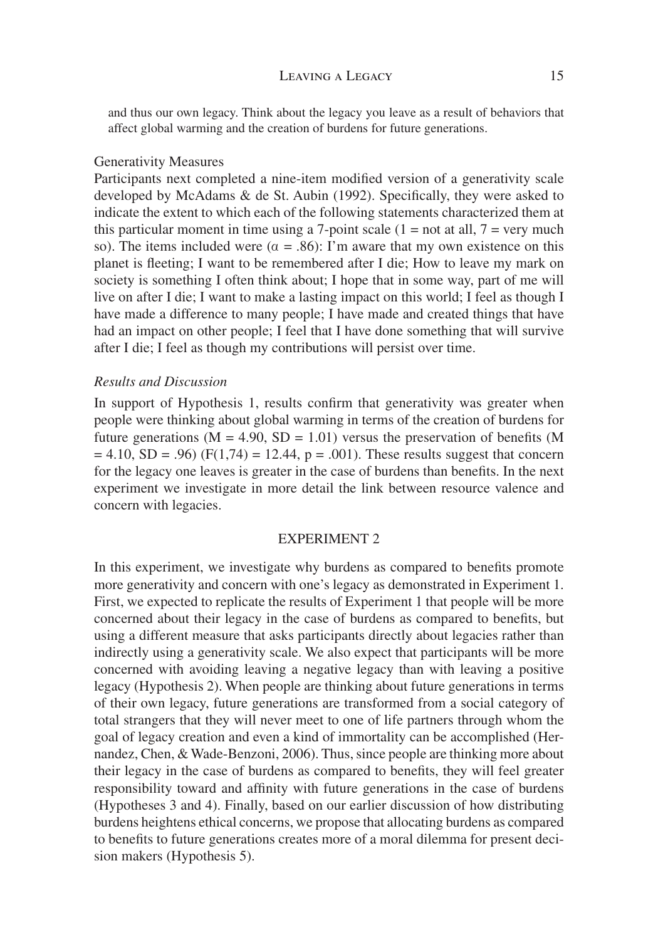#### LEAVING A LEGACY 15

and thus our own legacy. Think about the legacy you leave as a result of behaviors that affect global warming and the creation of burdens for future generations.

#### Generativity Measures

Participants next completed a nine-item modified version of a generativity scale developed by McAdams  $&$  de St. Aubin (1992). Specifically, they were asked to indicate the extent to which each of the following statements characterized them at this particular moment in time using a 7-point scale  $(1 = not at all, 7 = very much)$ so). The items included were ( $\alpha = .86$ ): I'm aware that my own existence on this planet is fleeting; I want to be remembered after I die; How to leave my mark on society is something I often think about; I hope that in some way, part of me will live on after I die; I want to make a lasting impact on this world; I feel as though I have made a difference to many people; I have made and created things that have had an impact on other people; I feel that I have done something that will survive after I die; I feel as though my contributions will persist over time.

#### *Results and Discussion*

In support of Hypothesis 1, results confirm that generativity was greater when people were thinking about global warming in terms of the creation of burdens for future generations ( $M = 4.90$ ,  $SD = 1.01$ ) versus the preservation of benefits (M)  $= 4.10$ , SD = .96) (F(1,74) = 12.44, p = .001). These results suggest that concern for the legacy one leaves is greater in the case of burdens than benefits. In the next experiment we investigate in more detail the link between resource valence and concern with legacies.

#### EXPERIMENT 2

In this experiment, we investigate why burdens as compared to benefits promote more generativity and concern with one's legacy as demonstrated in Experiment 1. First, we expected to replicate the results of Experiment 1 that people will be more concerned about their legacy in the case of burdens as compared to benefits, but using a different measure that asks participants directly about legacies rather than indirectly using a generativity scale. We also expect that participants will be more concerned with avoiding leaving a negative legacy than with leaving a positive legacy (Hypothesis 2). When people are thinking about future generations in terms of their own legacy, future generations are transformed from a social category of total strangers that they will never meet to one of life partners through whom the goal of legacy creation and even a kind of immortality can be accomplished (Hernandez, Chen, & Wade-Benzoni, 2006). Thus, since people are thinking more about their legacy in the case of burdens as compared to benefits, they will feel greater responsibility toward and affinity with future generations in the case of burdens (Hypotheses 3 and 4). Finally, based on our earlier discussion of how distributing burdens heightens ethical concerns, we propose that allocating burdens as compared to benefits to future generations creates more of a moral dilemma for present decision makers (Hypothesis 5).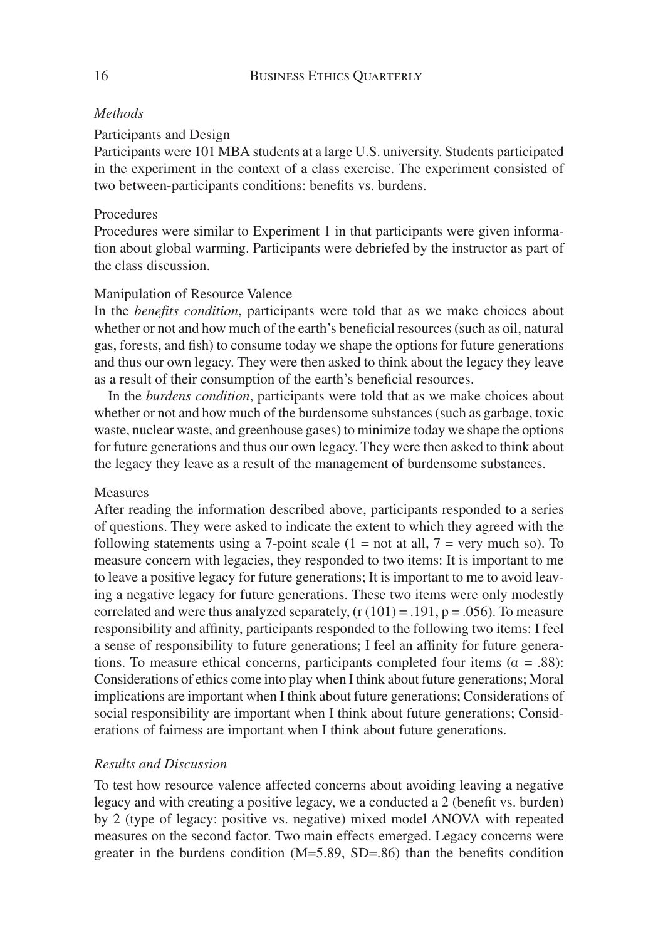# *Methods*

# Participants and Design

Participants were 101 MBA students at a large U.S. university. Students participated in the experiment in the context of a class exercise. The experiment consisted of two between-participants conditions: benefits vs. burdens.

# Procedures

Procedures were similar to Experiment 1 in that participants were given information about global warming. Participants were debriefed by the instructor as part of the class discussion.

# Manipulation of Resource Valence

In the *benefits condition*, participants were told that as we make choices about whether or not and how much of the earth's beneficial resources (such as oil, natural gas, forests, and fish) to consume today we shape the options for future generations and thus our own legacy. They were then asked to think about the legacy they leave as a result of their consumption of the earth's beneficial resources.

In the *burdens condition*, participants were told that as we make choices about whether or not and how much of the burdensome substances (such as garbage, toxic waste, nuclear waste, and greenhouse gases) to minimize today we shape the options for future generations and thus our own legacy. They were then asked to think about the legacy they leave as a result of the management of burdensome substances.

# Measures

After reading the information described above, participants responded to a series of questions. They were asked to indicate the extent to which they agreed with the following statements using a 7-point scale  $(1 = not at all, 7 = very much so)$ . To measure concern with legacies, they responded to two items: It is important to me to leave a positive legacy for future generations; It is important to me to avoid leaving a negative legacy for future generations. These two items were only modestly correlated and were thus analyzed separately,  $(r(101) = .191, p = .056)$ . To measure responsibility and affinity, participants responded to the following two items: I feel a sense of responsibility to future generations; I feel an affinity for future generations. To measure ethical concerns, participants completed four items ( $\alpha = .88$ ): Considerations of ethics come into play when I think about future generations; Moral implications are important when I think about future generations; Considerations of social responsibility are important when I think about future generations; Considerations of fairness are important when I think about future generations.

# *Results and Discussion*

To test how resource valence affected concerns about avoiding leaving a negative legacy and with creating a positive legacy, we a conducted a 2 (benefit vs. burden) by 2 (type of legacy: positive vs. negative) mixed model ANOVA with repeated measures on the second factor. Two main effects emerged. Legacy concerns were greater in the burdens condition  $(M=5.89, SD=.86)$  than the benefits condition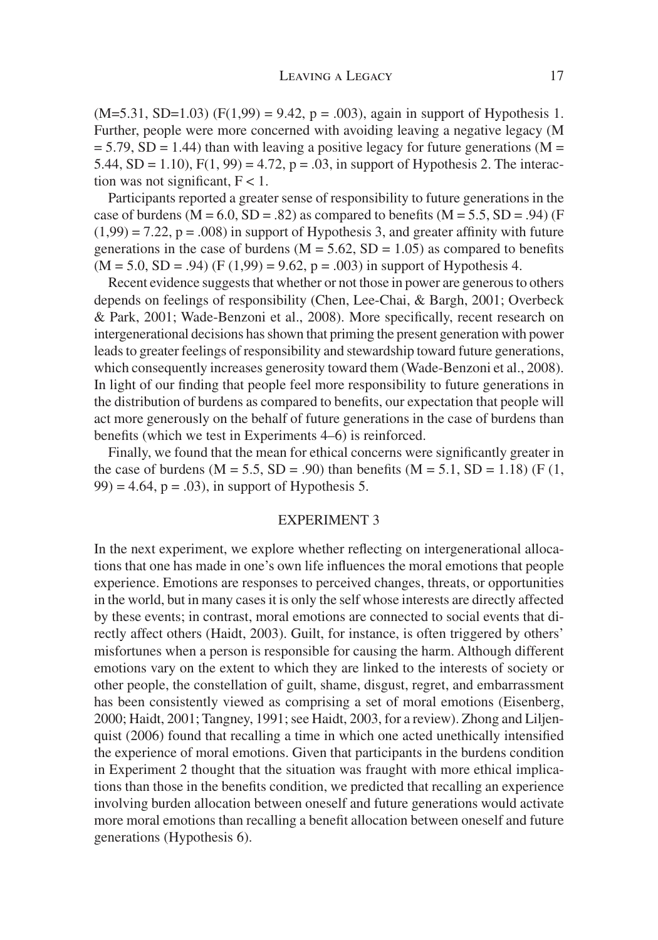$(M=5.31, SD=1.03)$   $(F(1,99) = 9.42, p = .003)$ , again in support of Hypothesis 1. Further, people were more concerned with avoiding leaving a negative legacy (M  $= 5.79$ , SD = 1.44) than with leaving a positive legacy for future generations (M = 5.44, SD = 1.10),  $F(1, 99) = 4.72$ ,  $p = .03$ , in support of Hypothesis 2. The interaction was not significant,  $F < 1$ .

Participants reported a greater sense of responsibility to future generations in the case of burdens ( $M = 6.0$ ,  $SD = .82$ ) as compared to benefits ( $M = 5.5$ ,  $SD = .94$ ) (F  $(1,99) = 7.22$ ,  $p = .008$ ) in support of Hypothesis 3, and greater affinity with future generations in the case of burdens ( $M = 5.62$ ,  $SD = 1.05$ ) as compared to benefits  $(M = 5.0, SD = .94)$  (F (1,99) = 9.62, p = .003) in support of Hypothesis 4.

Recent evidence suggests that whether or not those in power are generous to others depends on feelings of responsibility (Chen, Lee-Chai, & Bargh, 2001; Overbeck & Park, 2001; Wade-Benzoni et al., 2008). More specifically, recent research on intergenerational decisions has shown that priming the present generation with power leads to greater feelings of responsibility and stewardship toward future generations, which consequently increases generosity toward them (Wade-Benzoni et al., 2008). In light of our finding that people feel more responsibility to future generations in the distribution of burdens as compared to benefits, our expectation that people will act more generously on the behalf of future generations in the case of burdens than benefits (which we test in Experiments 4–6) is reinforced.

Finally, we found that the mean for ethical concerns were significantly greater in the case of burdens  $(M = 5.5, SD = .90)$  than benefits  $(M = 5.1, SD = 1.18)$  (F (1,  $99$ ) = 4.64, p = .03), in support of Hypothesis 5.

# EXPERIMENT 3

In the next experiment, we explore whether reflecting on intergenerational allocations that one has made in one's own life influences the moral emotions that people experience. Emotions are responses to perceived changes, threats, or opportunities in the world, but in many cases it is only the self whose interests are directly affected by these events; in contrast, moral emotions are connected to social events that directly affect others (Haidt, 2003). Guilt, for instance, is often triggered by others' misfortunes when a person is responsible for causing the harm. Although different emotions vary on the extent to which they are linked to the interests of society or other people, the constellation of guilt, shame, disgust, regret, and embarrassment has been consistently viewed as comprising a set of moral emotions (Eisenberg, 2000; Haidt, 2001; Tangney, 1991; see Haidt, 2003, for a review). Zhong and Liljenquist  $(2006)$  found that recalling a time in which one acted unethically intensified the experience of moral emotions. Given that participants in the burdens condition in Experiment 2 thought that the situation was fraught with more ethical implications than those in the benefits condition, we predicted that recalling an experience involving burden allocation between oneself and future generations would activate more moral emotions than recalling a benefit allocation between oneself and future generations (Hypothesis 6).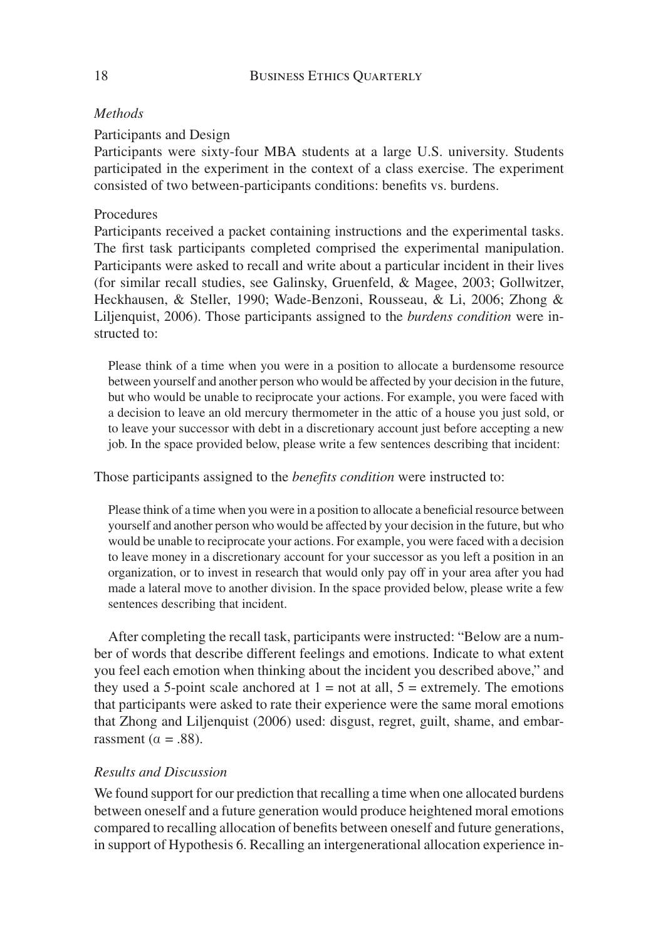# *Methods*

# Participants and Design

Participants were sixty-four MBA students at a large U.S. university. Students participated in the experiment in the context of a class exercise. The experiment consisted of two between-participants conditions: benefits vs. burdens.

# Procedures

Participants received a packet containing instructions and the experimental tasks. The first task participants completed comprised the experimental manipulation. Participants were asked to recall and write about a particular incident in their lives (for similar recall studies, see Galinsky, Gruenfeld, & Magee, 2003; Gollwitzer, Heckhausen, & Steller, 1990; Wade-Benzoni, Rousseau, & Li, 2006; Zhong & Liljenquist, 2006). Those participants assigned to the *burdens condition* were instructed to:

Please think of a time when you were in a position to allocate a burdensome resource between yourself and another person who would be affected by your decision in the future, but who would be unable to reciprocate your actions. For example, you were faced with a decision to leave an old mercury thermometer in the attic of a house you just sold, or to leave your successor with debt in a discretionary account just before accepting a new job. In the space provided below, please write a few sentences describing that incident:

# Those participants assigned to the *benefits condition* were instructed to:

Please think of a time when you were in a position to allocate a beneficial resource between yourself and another person who would be affected by your decision in the future, but who would be unable to reciprocate your actions. For example, you were faced with a decision to leave money in a discretionary account for your successor as you left a position in an organization, or to invest in research that would only pay off in your area after you had made a lateral move to another division. In the space provided below, please write a few sentences describing that incident.

After completing the recall task, participants were instructed: "Below are a number of words that describe different feelings and emotions. Indicate to what extent you feel each emotion when thinking about the incident you described above," and they used a 5-point scale anchored at  $1 = not$  at all,  $5 =$  extremely. The emotions that participants were asked to rate their experience were the same moral emotions that Zhong and Liljenquist (2006) used: disgust, regret, guilt, shame, and embarrassment ( $\alpha = .88$ ).

# *Results and Discussion*

We found support for our prediction that recalling a time when one allocated burdens between oneself and a future generation would produce heightened moral emotions compared to recalling allocation of benefits between oneself and future generations, in support of Hypothesis 6. Recalling an intergenerational allocation experience in-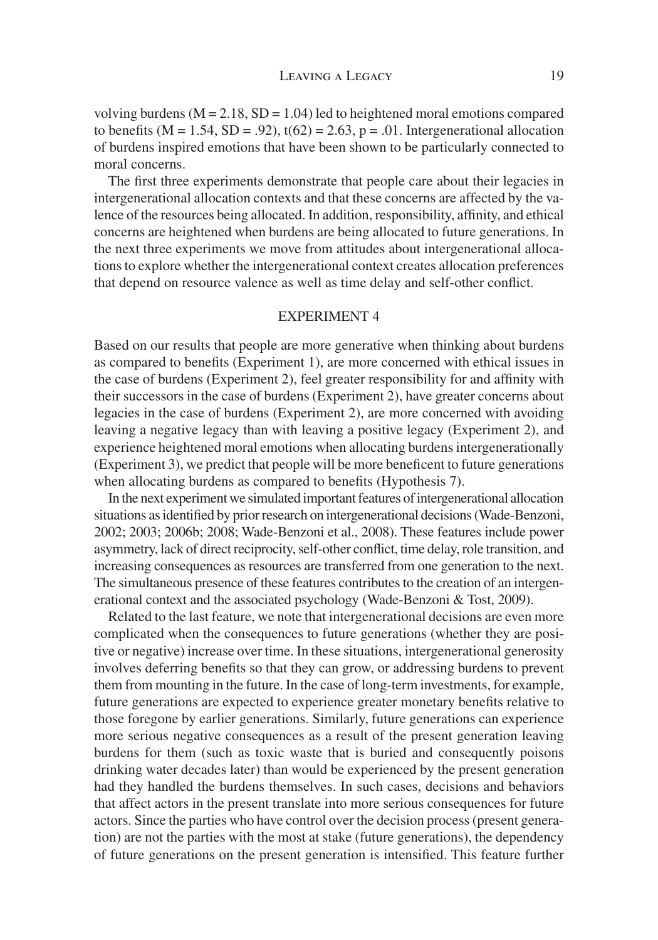volving burdens  $(M = 2.18, SD = 1.04)$  led to heightened moral emotions compared to benefits ( $M = 1.54$ ,  $SD = .92$ ),  $t(62) = 2.63$ ,  $p = .01$ . Intergenerational allocation of burdens inspired emotions that have been shown to be particularly connected to moral concerns.

The first three experiments demonstrate that people care about their legacies in intergenerational allocation contexts and that these concerns are affected by the valence of the resources being allocated. In addition, responsibility, affinity, and ethical concerns are heightened when burdens are being allocated to future generations. In the next three experiments we move from attitudes about intergenerational allocations to explore whether the intergenerational context creates allocation preferences that depend on resource valence as well as time delay and self-other conflict.

# EXPERIMENT 4

Based on our results that people are more generative when thinking about burdens as compared to benefits (Experiment 1), are more concerned with ethical issues in the case of burdens (Experiment 2), feel greater responsibility for and affinity with their successors in the case of burdens (Experiment 2), have greater concerns about legacies in the case of burdens (Experiment 2), are more concerned with avoiding leaving a negative legacy than with leaving a positive legacy (Experiment 2), and experience heightened moral emotions when allocating burdens intergenerationally (Experiment 3), we predict that people will be more beneficent to future generations when allocating burdens as compared to benefits (Hypothesis 7).

In the next experiment we simulated important features of intergenerational allocation situations as identified by prior research on intergenerational decisions (Wade-Benzoni, 2002; 2003; 2006b; 2008; Wade-Benzoni et al., 2008). These features include power asymmetry, lack of direct reciprocity, self-other conflict, time delay, role transition, and increasing consequences as resources are transferred from one generation to the next. The simultaneous presence of these features contributes to the creation of an intergenerational context and the associated psychology (Wade-Benzoni & Tost, 2009).

Related to the last feature, we note that intergenerational decisions are even more complicated when the consequences to future generations (whether they are positive or negative) increase over time. In these situations, intergenerational generosity involves deferring benefits so that they can grow, or addressing burdens to prevent them from mounting in the future. In the case of long-term investments, for example, future generations are expected to experience greater monetary benefits relative to those foregone by earlier generations. Similarly, future generations can experience more serious negative consequences as a result of the present generation leaving burdens for them (such as toxic waste that is buried and consequently poisons drinking water decades later) than would be experienced by the present generation had they handled the burdens themselves. In such cases, decisions and behaviors that affect actors in the present translate into more serious consequences for future actors. Since the parties who have control over the decision process (present generation) are not the parties with the most at stake (future generations), the dependency of future generations on the present generation is intensified. This feature further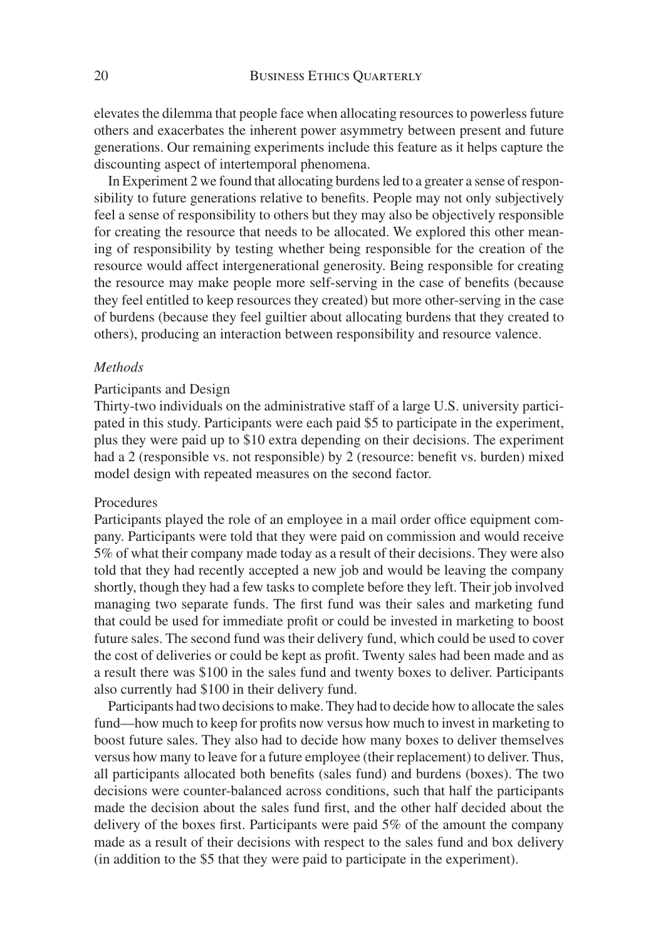elevates the dilemma that people face when allocating resources to powerless future others and exacerbates the inherent power asymmetry between present and future generations. Our remaining experiments include this feature as it helps capture the discounting aspect of intertemporal phenomena.

In Experiment 2 we found that allocating burdens led to a greater a sense of responsibility to future generations relative to benefits. People may not only subjectively feel a sense of responsibility to others but they may also be objectively responsible for creating the resource that needs to be allocated. We explored this other meaning of responsibility by testing whether being responsible for the creation of the resource would affect intergenerational generosity. Being responsible for creating the resource may make people more self-serving in the case of benefits (because they feel entitled to keep resources they created) but more other-serving in the case of burdens (because they feel guiltier about allocating burdens that they created to others), producing an interaction between responsibility and resource valence.

#### *Methods*

# Participants and Design

Thirty-two individuals on the administrative staff of a large U.S. university participated in this study. Participants were each paid \$5 to participate in the experiment, plus they were paid up to \$10 extra depending on their decisions. The experiment had a 2 (responsible vs. not responsible) by 2 (resource: benefit vs. burden) mixed model design with repeated measures on the second factor.

#### **Procedures**

Participants played the role of an employee in a mail order office equipment company. Participants were told that they were paid on commission and would receive 5% of what their company made today as a result of their decisions. They were also told that they had recently accepted a new job and would be leaving the company shortly, though they had a few tasks to complete before they left. Their job involved managing two separate funds. The first fund was their sales and marketing fund that could be used for immediate profit or could be invested in marketing to boost future sales. The second fund was their delivery fund, which could be used to cover the cost of deliveries or could be kept as profit. Twenty sales had been made and as a result there was \$100 in the sales fund and twenty boxes to deliver. Participants also currently had \$100 in their delivery fund.

Participants had two decisions to make. They had to decide how to allocate the sales fund—how much to keep for profits now versus how much to invest in marketing to boost future sales. They also had to decide how many boxes to deliver themselves versus how many to leave for a future employee (their replacement) to deliver. Thus, all participants allocated both benefits (sales fund) and burdens (boxes). The two decisions were counter-balanced across conditions, such that half the participants made the decision about the sales fund first, and the other half decided about the delivery of the boxes first. Participants were paid  $5\%$  of the amount the company made as a result of their decisions with respect to the sales fund and box delivery (in addition to the \$5 that they were paid to participate in the experiment).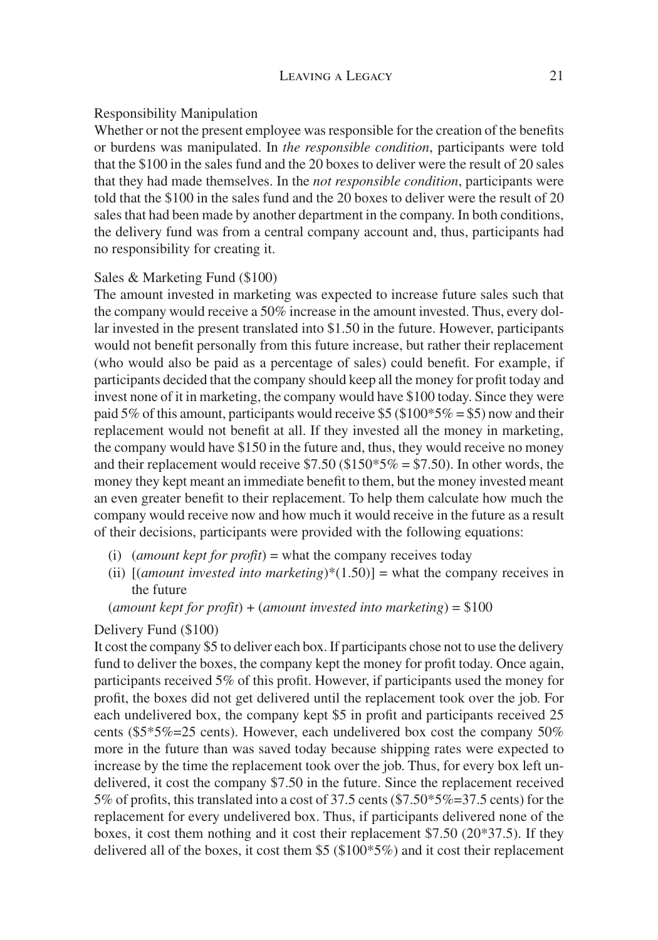# Responsibility Manipulation

Whether or not the present employee was responsible for the creation of the benefits or burdens was manipulated. In *the responsible condition*, participants were told that the \$100 in the sales fund and the 20 boxes to deliver were the result of 20 sales that they had made themselves. In the *not responsible condition*, participants were told that the \$100 in the sales fund and the 20 boxes to deliver were the result of 20 sales that had been made by another department in the company. In both conditions, the delivery fund was from a central company account and, thus, participants had no responsibility for creating it.

# Sales & Marketing Fund (\$100)

The amount invested in marketing was expected to increase future sales such that the company would receive a 50% increase in the amount invested. Thus, every dollar invested in the present translated into \$1.50 in the future. However, participants would not benefit personally from this future increase, but rather their replacement (who would also be paid as a percentage of sales) could benefit. For example, if participants decided that the company should keep all the money for profit today and invest none of it in marketing, the company would have \$100 today. Since they were paid 5% of this amount, participants would receive  $$5$  (\$100 $*$ 5% = \$5) now and their replacement would not benefit at all. If they invested all the money in marketing, the company would have \$150 in the future and, thus, they would receive no money and their replacement would receive  $$7.50 ($150*5\% = $7.50)$ . In other words, the money they kept meant an immediate benefit to them, but the money invested meant an even greater benefit to their replacement. To help them calculate how much the company would receive now and how much it would receive in the future as a result of their decisions, participants were provided with the following equations:

- (i) (*amount kept for profit*) = what the company receives today
- (ii) [(*amount invested into marketing*)\*(1.50)] = what the company receives in the future

(*amount kept for profit*) + (*amount invested into marketing*) = \$100

# Delivery Fund (\$100)

It cost the company \$5 to deliver each box. If participants chose not to use the delivery fund to deliver the boxes, the company kept the money for profit today. Once again, participants received  $5\%$  of this profit. However, if participants used the money for profit, the boxes did not get delivered until the replacement took over the job. For each undelivered box, the company kept \$5 in profit and participants received 25 cents (\$5\*5%=25 cents). However, each undelivered box cost the company 50% more in the future than was saved today because shipping rates were expected to increase by the time the replacement took over the job. Thus, for every box left undelivered, it cost the company \$7.50 in the future. Since the replacement received 5% of profits, this translated into a cost of 37.5 cents  $$7.50*5% = 37.5$  cents) for the replacement for every undelivered box. Thus, if participants delivered none of the boxes, it cost them nothing and it cost their replacement \$7.50 (20\*37.5). If they delivered all of the boxes, it cost them \$5 (\$100\*5%) and it cost their replacement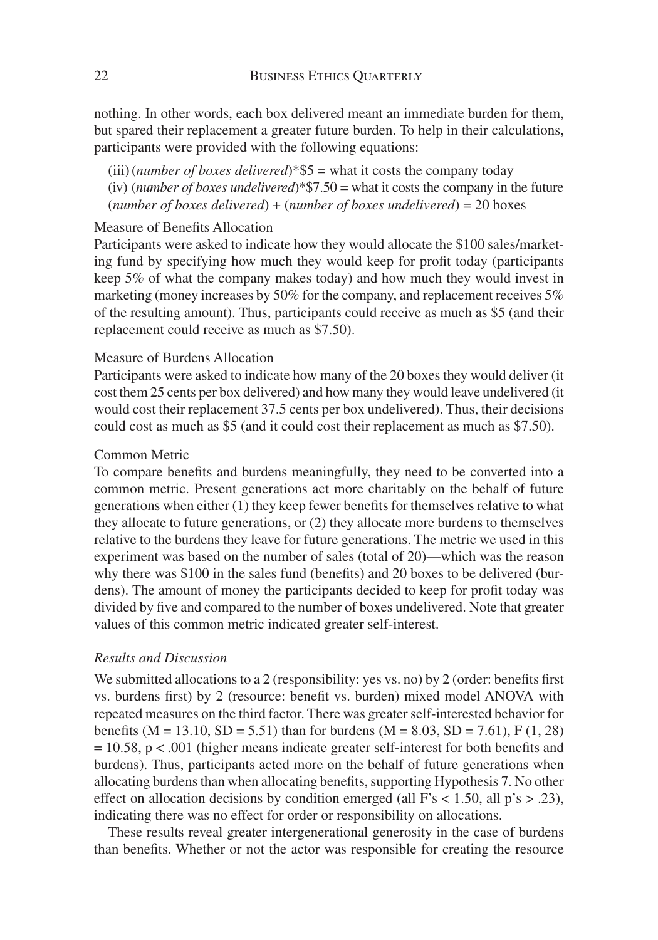nothing. In other words, each box delivered meant an immediate burden for them, but spared their replacement a greater future burden. To help in their calculations, participants were provided with the following equations:

(iii) (*number of boxes delivered*)\*\$5 = what it costs the company today (iv) (*number of boxes undelivered*)\*\$7.50 = what it costs the company in the future (*number of boxes delivered*) + (*number of boxes undelivered*) = 20 boxes

# Measure of Benefits Allocation

Participants were asked to indicate how they would allocate the \$100 sales/marketing fund by specifying how much they would keep for profit today (participants keep 5% of what the company makes today) and how much they would invest in marketing (money increases by 50% for the company, and replacement receives 5% of the resulting amount). Thus, participants could receive as much as \$5 (and their replacement could receive as much as \$7.50).

# Measure of Burdens Allocation

Participants were asked to indicate how many of the 20 boxes they would deliver (it cost them 25 cents per box delivered) and how many they would leave undelivered (it would cost their replacement 37.5 cents per box undelivered). Thus, their decisions could cost as much as \$5 (and it could cost their replacement as much as \$7.50).

# Common Metric

To compare benefits and burdens meaningfully, they need to be converted into a common metric. Present generations act more charitably on the behalf of future generations when either  $(1)$  they keep fewer benefits for themselves relative to what they allocate to future generations, or (2) they allocate more burdens to themselves relative to the burdens they leave for future generations. The metric we used in this experiment was based on the number of sales (total of 20)—which was the reason why there was  $$100$  in the sales fund (benefits) and 20 boxes to be delivered (burdens). The amount of money the participants decided to keep for profit today was divided by five and compared to the number of boxes undelivered. Note that greater values of this common metric indicated greater self-interest.

# *Results and Discussion*

We submitted allocations to a 2 (responsibility: yes vs. no) by 2 (order: benefits first vs. burdens first) by 2 (resource: benefit vs. burden) mixed model ANOVA with repeated measures on the third factor. There was greater self-interested behavior for benefits (M = 13.10, SD = 5.51) than for burdens (M = 8.03, SD = 7.61), F (1, 28)  $= 10.58$ , p < .001 (higher means indicate greater self-interest for both benefits and burdens). Thus, participants acted more on the behalf of future generations when allocating burdens than when allocating benefits, supporting Hypothesis 7. No other effect on allocation decisions by condition emerged (all  $F's < 1.50$ , all  $p's > .23$ ), indicating there was no effect for order or responsibility on allocations.

These results reveal greater intergenerational generosity in the case of burdens than benefits. Whether or not the actor was responsible for creating the resource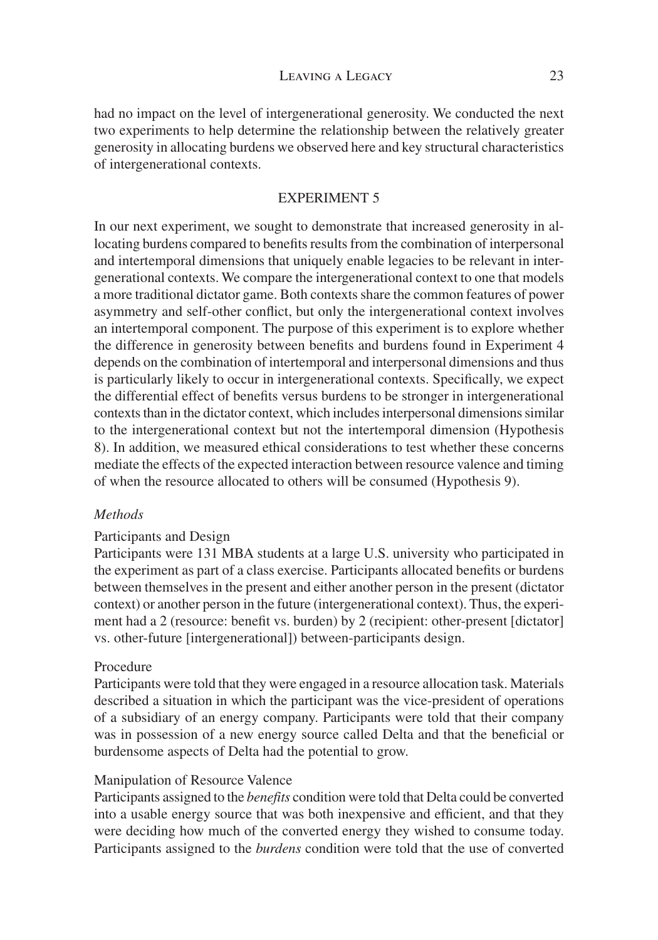had no impact on the level of intergenerational generosity. We conducted the next two experiments to help determine the relationship between the relatively greater generosity in allocating burdens we observed here and key structural characteristics of intergenerational contexts.

# EXPERIMENT 5

In our next experiment, we sought to demonstrate that increased generosity in allocating burdens compared to benefits results from the combination of interpersonal and intertemporal dimensions that uniquely enable legacies to be relevant in intergenerational contexts. We compare the intergenerational context to one that models a more traditional dictator game. Both contexts share the common features of power asymmetry and self-other conflict, but only the intergenerational context involves an intertemporal component. The purpose of this experiment is to explore whether the difference in generosity between benefits and burdens found in Experiment 4 depends on the combination of intertemporal and interpersonal dimensions and thus is particularly likely to occur in intergenerational contexts. Specifically, we expect the differential effect of benefits versus burdens to be stronger in intergenerational contexts than in the dictator context, which includes interpersonal dimensions similar to the intergenerational context but not the intertemporal dimension (Hypothesis 8). In addition, we measured ethical considerations to test whether these concerns mediate the effects of the expected interaction between resource valence and timing of when the resource allocated to others will be consumed (Hypothesis 9).

# *Methods*

# Participants and Design

Participants were 131 MBA students at a large U.S. university who participated in the experiment as part of a class exercise. Participants allocated benefits or burdens between themselves in the present and either another person in the present (dictator context) or another person in the future (intergenerational context). Thus, the experiment had a 2 (resource: benefit vs. burden) by 2 (recipient: other-present [dictator] vs. other-future [intergenerational]) between-participants design.

# Procedure

Participants were told that they were engaged in a resource allocation task. Materials described a situation in which the participant was the vice-president of operations of a subsidiary of an energy company. Participants were told that their company was in possession of a new energy source called Delta and that the beneficial or burdensome aspects of Delta had the potential to grow.

#### Manipulation of Resource Valence

Participants assigned to the *benefits* condition were told that Delta could be converted into a usable energy source that was both inexpensive and efficient, and that they were deciding how much of the converted energy they wished to consume today. Participants assigned to the *burdens* condition were told that the use of converted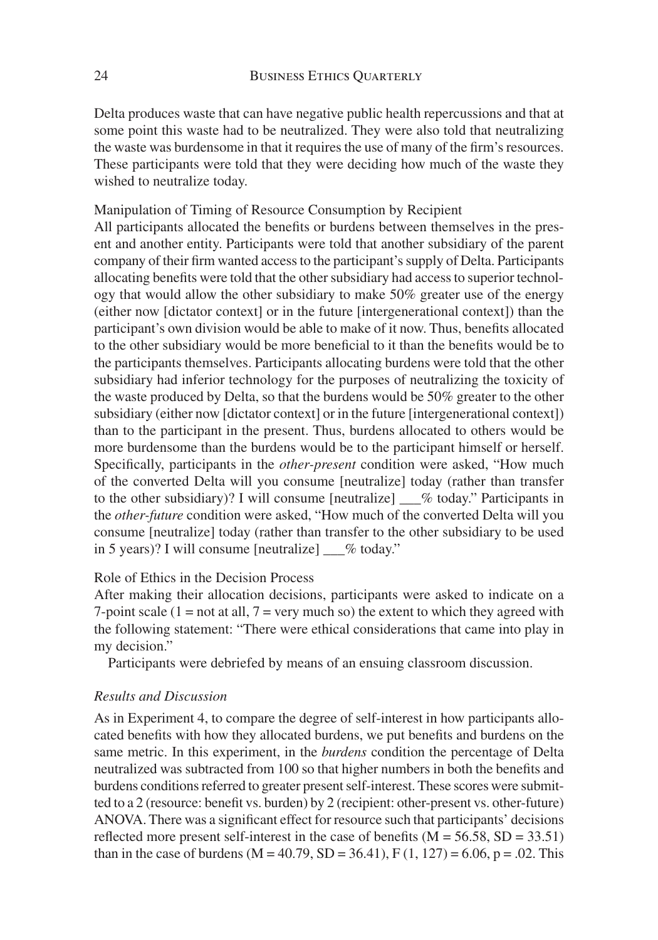Delta produces waste that can have negative public health repercussions and that at some point this waste had to be neutralized. They were also told that neutralizing the waste was burdensome in that it requires the use of many of the firm's resources. These participants were told that they were deciding how much of the waste they wished to neutralize today.

Manipulation of Timing of Resource Consumption by Recipient

All participants allocated the benefits or burdens between themselves in the present and another entity. Participants were told that another subsidiary of the parent company of their firm wanted access to the participant's supply of Delta. Participants allocating benefits were told that the other subsidiary had access to superior technology that would allow the other subsidiary to make 50% greater use of the energy (either now [dictator context] or in the future [intergenerational context]) than the participant's own division would be able to make of it now. Thus, benefits allocated to the other subsidiary would be more beneficial to it than the benefits would be to the participants themselves. Participants allocating burdens were told that the other subsidiary had inferior technology for the purposes of neutralizing the toxicity of the waste produced by Delta, so that the burdens would be 50% greater to the other subsidiary (either now [dictator context] or in the future [intergenerational context]) than to the participant in the present. Thus, burdens allocated to others would be more burdensome than the burdens would be to the participant himself or herself. Specifically, participants in the *other-present* condition were asked, "How much of the converted Delta will you consume [neutralize] today (rather than transfer to the other subsidiary)? I will consume [neutralize] \_\_\_% today." Participants in the *other-future* condition were asked, "How much of the converted Delta will you consume [neutralize] today (rather than transfer to the other subsidiary to be used in 5 years)? I will consume [neutralize] \_\_\_% today."

# Role of Ethics in the Decision Process

After making their allocation decisions, participants were asked to indicate on a 7-point scale  $(1 = not at all, 7 = very much so)$  the extent to which they agreed with the following statement: "There were ethical considerations that came into play in my decision."

Participants were debriefed by means of an ensuing classroom discussion.

# *Results and Discussion*

As in Experiment 4, to compare the degree of self-interest in how participants allocated benefits with how they allocated burdens, we put benefits and burdens on the same metric. In this experiment, in the *burdens* condition the percentage of Delta neutralized was subtracted from 100 so that higher numbers in both the benefits and burdens conditions referred to greater present self-interest. These scores were submitted to a 2 (resource: benefit vs. burden) by 2 (recipient: other-present vs. other-future) ANOVA. There was a significant effect for resource such that participants' decisions reflected more present self-interest in the case of benefits ( $M = 56.58$ ,  $SD = 33.51$ ) than in the case of burdens (M = 40.79, SD = 36.41), F (1, 127) = 6.06, p = .02. This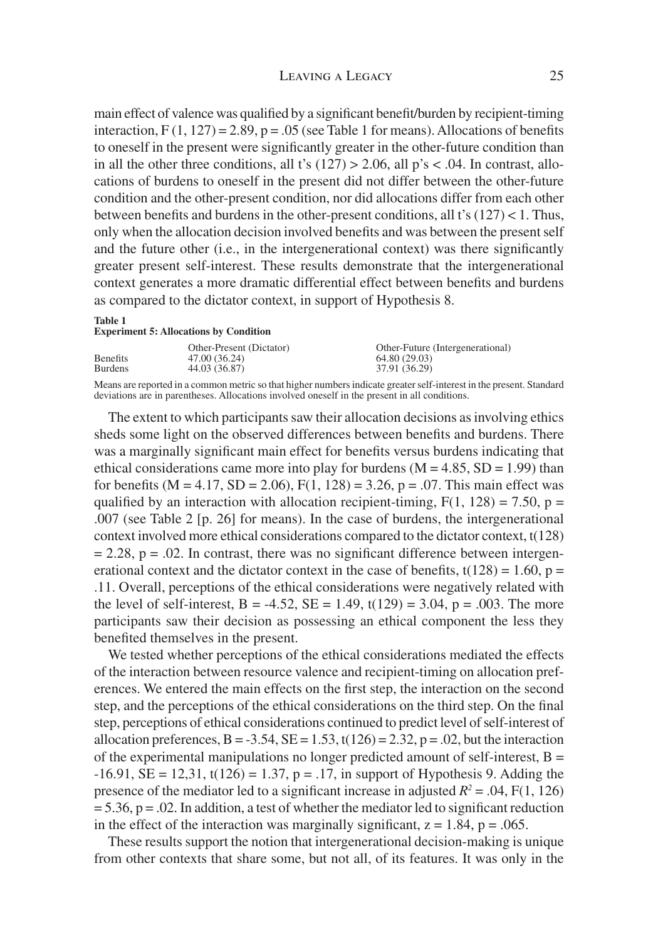main effect of valence was qualified by a significant benefit/burden by recipient-timing interaction,  $F(1, 127) = 2.89$ ,  $p = .05$  (see Table 1 for means). Allocations of benefits to oneself in the present were significantly greater in the other-future condition than in all the other three conditions, all t's  $(127) > 2.06$ , all p's < .04. In contrast, allocations of burdens to oneself in the present did not differ between the other-future condition and the other-present condition, nor did allocations differ from each other between benefits and burdens in the other-present conditions, all t's  $(127) < 1$ . Thus, only when the allocation decision involved benefits and was between the present self and the future other (i.e., in the intergenerational context) was there significantly greater present self-interest. These results demonstrate that the intergenerational context generates a more dramatic differential effect between benefits and burdens as compared to the dictator context, in support of Hypothesis 8.

#### **Table 1**

**Experiment 5: Allocations by Condition**

|                 | Other-Present (Dictator) | Other-Future (Intergenerational) |
|-----------------|--------------------------|----------------------------------|
| <b>Benefits</b> | 47.00 (36.24)            | 64.80 (29.03)                    |
| <b>Burdens</b>  | 44.03 (36.87)            | 37.91 (36.29)                    |

Means are reported in a common metric so that higher numbers indicate greater self-interest in the present. Standard deviations are in parentheses. Allocations involved oneself in the present in all conditions.

The extent to which participants saw their allocation decisions as involving ethics sheds some light on the observed differences between benefits and burdens. There was a marginally significant main effect for benefits versus burdens indicating that ethical considerations came more into play for burdens  $(M = 4.85, SD = 1.99)$  than for benefits ( $M = 4.17$ ,  $SD = 2.06$ ),  $F(1, 128) = 3.26$ ,  $p = .07$ . This main effect was qualified by an interaction with allocation recipient-timing,  $F(1, 128) = 7.50$ , p = .007 (see Table 2 [p. 26] for means). In the case of burdens, the intergenerational context involved more ethical considerations compared to the dictator context, t(128)  $= 2.28$ ,  $p = .02$ . In contrast, there was no significant difference between intergenerational context and the dictator context in the case of benefits,  $t(128) = 1.60$ ,  $p =$ .11. Overall, perceptions of the ethical considerations were negatively related with the level of self-interest, B = -4.52, SE = 1.49, t(129) = 3.04, p = .003. The more participants saw their decision as possessing an ethical component the less they benefited themselves in the present.

We tested whether perceptions of the ethical considerations mediated the effects of the interaction between resource valence and recipient-timing on allocation preferences. We entered the main effects on the first step, the interaction on the second step, and the perceptions of the ethical considerations on the third step. On the final step, perceptions of ethical considerations continued to predict level of self-interest of allocation preferences,  $B = -3.54$ ,  $SE = 1.53$ ,  $t(126) = 2.32$ ,  $p = .02$ , but the interaction of the experimental manipulations no longer predicted amount of self-interest,  $B =$  $-16.91$ ,  $SE = 12.31$ ,  $t(126) = 1.37$ ,  $p = .17$ , in support of Hypothesis 9. Adding the presence of the mediator led to a significant increase in adjusted  $R^2 = .04$ ,  $F(1, 126)$  $= 5.36$ ,  $p = .02$ . In addition, a test of whether the mediator led to significant reduction in the effect of the interaction was marginally significant,  $z = 1.84$ ,  $p = .065$ .

These results support the notion that intergenerational decision-making is unique from other contexts that share some, but not all, of its features. It was only in the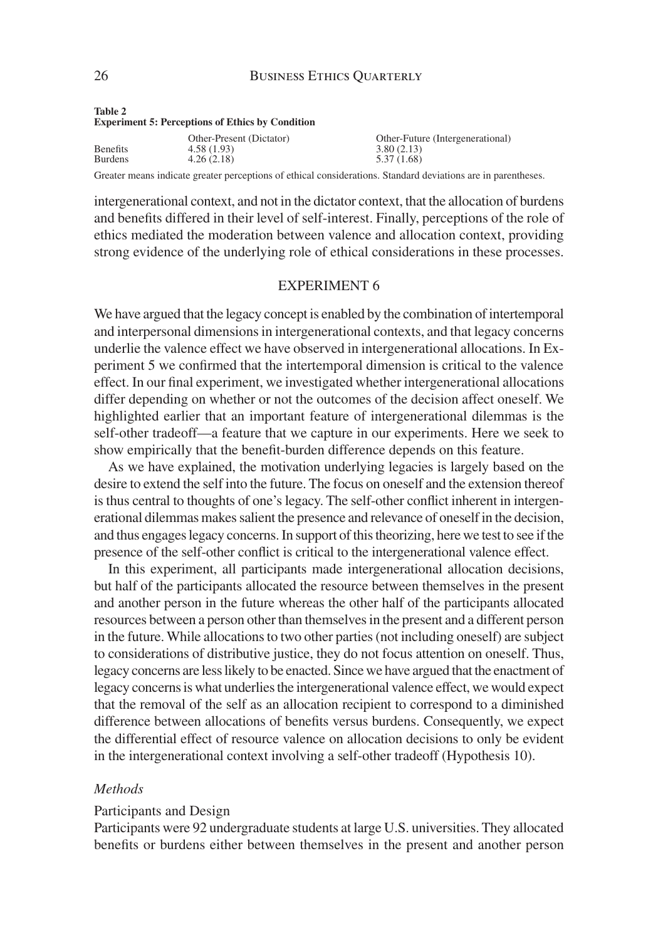#### 26 BUSINESS ETHICS QUARTERLY

| $100V +$<br><b>Experiment 5: Perceptions of Ethics by Condition</b> |                                                      |                                                               |  |
|---------------------------------------------------------------------|------------------------------------------------------|---------------------------------------------------------------|--|
| <b>Benefits</b><br><b>Burdens</b>                                   | Other-Present (Dictator)<br>4.58(1.93)<br>4.26(2.18) | Other-Future (Intergenerational)<br>3.80(2.13)<br>5.37 (1.68) |  |

Greater means indicate greater perceptions of ethical considerations. Standard deviations are in parentheses.

intergenerational context, and not in the dictator context, that the allocation of burdens and benefits differed in their level of self-interest. Finally, perceptions of the role of ethics mediated the moderation between valence and allocation context, providing strong evidence of the underlying role of ethical considerations in these processes.

# EXPERIMENT 6

We have argued that the legacy concept is enabled by the combination of intertemporal and interpersonal dimensions in intergenerational contexts, and that legacy concerns underlie the valence effect we have observed in intergenerational allocations. In Experiment 5 we confirmed that the intertemporal dimension is critical to the valence effect. In our final experiment, we investigated whether intergenerational allocations differ depending on whether or not the outcomes of the decision affect oneself. We highlighted earlier that an important feature of intergenerational dilemmas is the self-other tradeoff—a feature that we capture in our experiments. Here we seek to show empirically that the benefit-burden difference depends on this feature.

As we have explained, the motivation underlying legacies is largely based on the desire to extend the self into the future. The focus on oneself and the extension thereof is thus central to thoughts of one's legacy. The self-other conflict inherent in intergenerational dilemmas makes salient the presence and relevance of oneself in the decision, and thus engages legacy concerns. In support of this theorizing, here we test to see if the presence of the self-other conflict is critical to the intergenerational valence effect.

In this experiment, all participants made intergenerational allocation decisions, but half of the participants allocated the resource between themselves in the present and another person in the future whereas the other half of the participants allocated resources between a person other than themselves in the present and a different person in the future. While allocations to two other parties (not including oneself) are subject to considerations of distributive justice, they do not focus attention on oneself. Thus, legacy concerns are less likely to be enacted. Since we have argued that the enactment of legacy concerns is what underlies the intergenerational valence effect, we would expect that the removal of the self as an allocation recipient to correspond to a diminished difference between allocations of benefits versus burdens. Consequently, we expect the differential effect of resource valence on allocation decisions to only be evident in the intergenerational context involving a self-other tradeoff (Hypothesis 10).

#### *Methods*

#### Participants and Design

Participants were 92 undergraduate students at large U.S. universities. They allocated benefits or burdens either between themselves in the present and another person

**Table 2**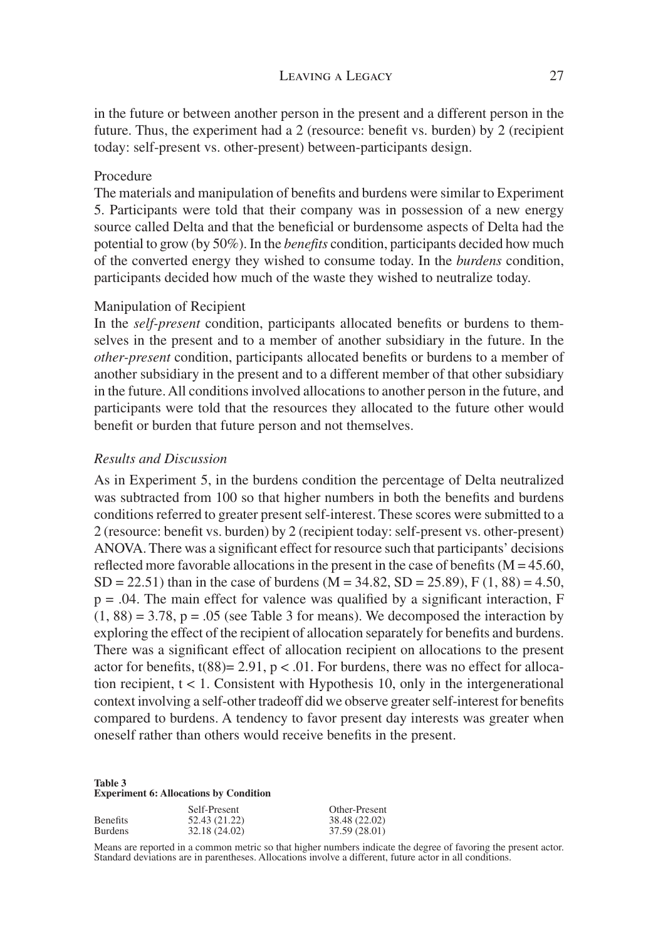# LEAVING A LEGACY 27

in the future or between another person in the present and a different person in the future. Thus, the experiment had a 2 (resource: benefit vs. burden) by 2 (recipient today: self-present vs. other-present) between-participants design.

# Procedure

The materials and manipulation of benefits and burdens were similar to Experiment 5. Participants were told that their company was in possession of a new energy source called Delta and that the beneficial or burdensome aspects of Delta had the potential to grow (by 50%). In the *benefits* condition, participants decided how much of the converted energy they wished to consume today. In the *burdens* condition, participants decided how much of the waste they wished to neutralize today.

#### Manipulation of Recipient

In the *self-present* condition, participants allocated benefits or burdens to themselves in the present and to a member of another subsidiary in the future. In the *other-present* condition, participants allocated benefits or burdens to a member of another subsidiary in the present and to a different member of that other subsidiary in the future. All conditions involved allocations to another person in the future, and participants were told that the resources they allocated to the future other would benefit or burden that future person and not themselves.

#### *Results and Discussion*

As in Experiment 5, in the burdens condition the percentage of Delta neutralized was subtracted from 100 so that higher numbers in both the benefits and burdens conditions referred to greater present self-interest. These scores were submitted to a 2 (resource: benefit vs. burden) by 2 (recipient today: self-present vs. other-present) ANOVA. There was a significant effect for resource such that participants' decisions reflected more favorable allocations in the present in the case of benefits ( $M = 45.60$ ,  $SD = 22.51$ ) than in the case of burdens (M = 34.82, SD = 25.89), F (1, 88) = 4.50,  $p = .04$ . The main effect for valence was qualified by a significant interaction, F  $(1, 88) = 3.78$ ,  $p = .05$  (see Table 3 for means). We decomposed the interaction by exploring the effect of the recipient of allocation separately for benefits and burdens. There was a significant effect of allocation recipient on allocations to the present actor for benefits,  $t(88)= 2.91$ ,  $p < .01$ . For burdens, there was no effect for allocation recipient,  $t < 1$ . Consistent with Hypothesis 10, only in the intergenerational context involving a self-other tradeoff did we observe greater self-interest for benefits compared to burdens. A tendency to favor present day interests was greater when oneself rather than others would receive benefits in the present.

#### **Table 3 Experiment 6: Allocations by Condition**

|                 | Self-Present  | Other-Present |
|-----------------|---------------|---------------|
| <b>Benefits</b> | 52.43 (21.22) | 38.48 (22.02) |
| <b>Burdens</b>  | 32.18 (24.02) | 37.59 (28.01) |

Means are reported in a common metric so that higher numbers indicate the degree of favoring the present actor. Standard deviations are in parentheses. Allocations involve a different, future actor in all conditions.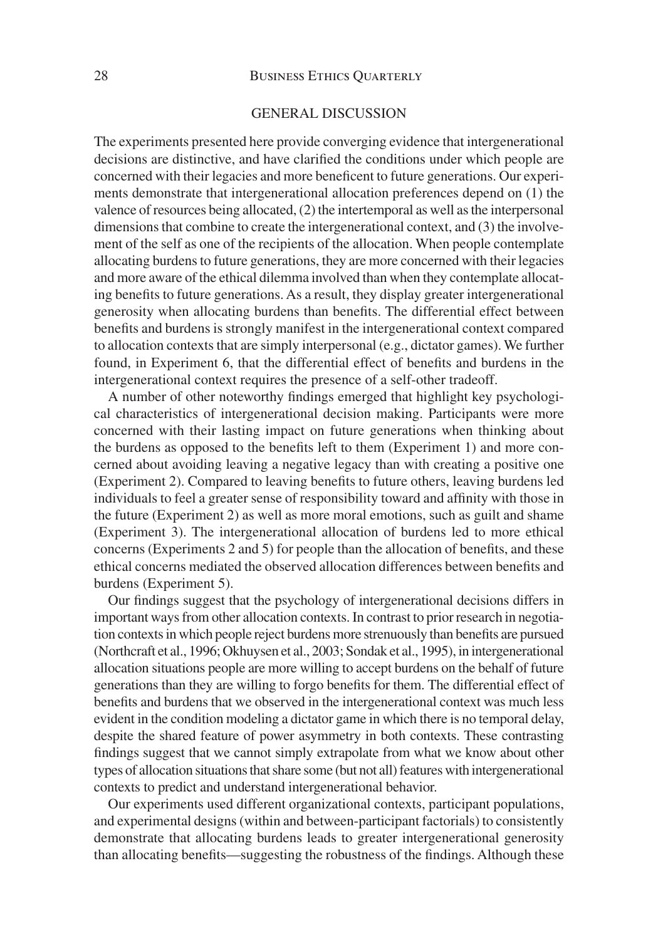# 28 BUSINESS ETHICS QUARTERLY

#### GENERAL DISCUSSION

The experiments presented here provide converging evidence that intergenerational decisions are distinctive, and have clarified the conditions under which people are concerned with their legacies and more beneficent to future generations. Our experiments demonstrate that intergenerational allocation preferences depend on (1) the valence of resources being allocated, (2) the intertemporal as well as the interpersonal dimensions that combine to create the intergenerational context, and (3) the involvement of the self as one of the recipients of the allocation. When people contemplate allocating burdens to future generations, they are more concerned with their legacies and more aware of the ethical dilemma involved than when they contemplate allocating benefits to future generations. As a result, they display greater intergenerational generosity when allocating burdens than benefits. The differential effect between benefits and burdens is strongly manifest in the intergenerational context compared to allocation contexts that are simply interpersonal (e.g., dictator games). We further found, in Experiment 6, that the differential effect of benefits and burdens in the intergenerational context requires the presence of a self-other tradeoff.

A number of other noteworthy findings emerged that highlight key psychological characteristics of intergenerational decision making. Participants were more concerned with their lasting impact on future generations when thinking about the burdens as opposed to the benefits left to them (Experiment 1) and more concerned about avoiding leaving a negative legacy than with creating a positive one (Experiment 2). Compared to leaving benefits to future others, leaving burdens led individuals to feel a greater sense of responsibility toward and affinity with those in the future (Experiment 2) as well as more moral emotions, such as guilt and shame (Experiment 3). The intergenerational allocation of burdens led to more ethical concerns (Experiments 2 and 5) for people than the allocation of benefits, and these ethical concerns mediated the observed allocation differences between benefits and burdens (Experiment 5).

Our findings suggest that the psychology of intergenerational decisions differs in important ways from other allocation contexts. In contrast to prior research in negotiation contexts in which people reject burdens more strenuously than benefits are pursued (Northcraft et al., 1996; Okhuysen et al., 2003; Sondak et al., 1995), in intergenerational allocation situations people are more willing to accept burdens on the behalf of future generations than they are willing to forgo benefits for them. The differential effect of benefits and burdens that we observed in the intergenerational context was much less evident in the condition modeling a dictator game in which there is no temporal delay, despite the shared feature of power asymmetry in both contexts. These contrasting findings suggest that we cannot simply extrapolate from what we know about other types of allocation situations that share some (but not all) features with intergenerational contexts to predict and understand intergenerational behavior.

Our experiments used different organizational contexts, participant populations, and experimental designs (within and between-participant factorials) to consistently demonstrate that allocating burdens leads to greater intergenerational generosity than allocating benefits—suggesting the robustness of the findings. Although these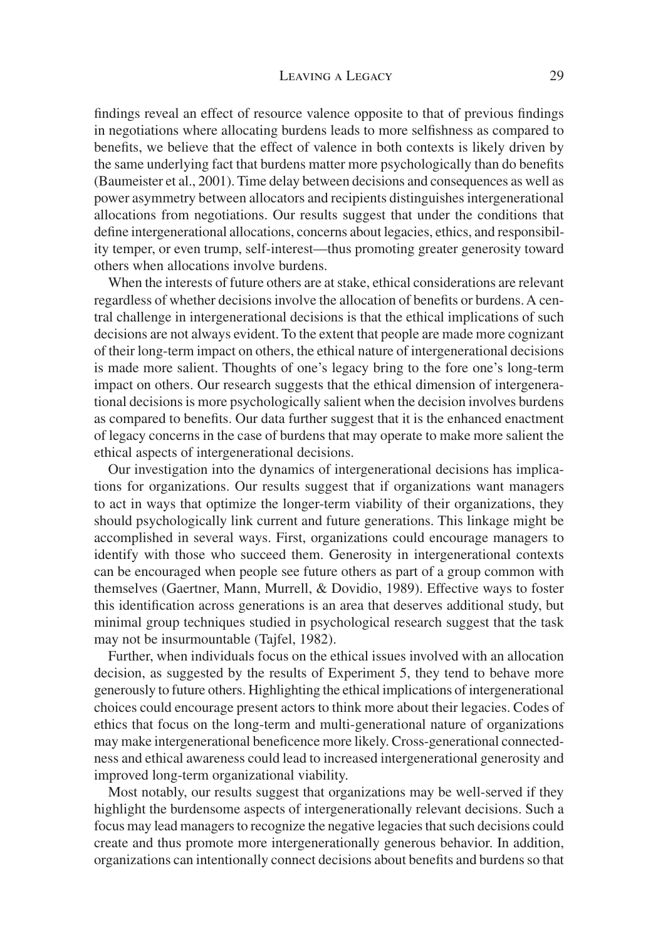#### LEAVING A LEGACY 29

findings reveal an effect of resource valence opposite to that of previous findings in negotiations where allocating burdens leads to more selfishness as compared to benefits, we believe that the effect of valence in both contexts is likely driven by the same underlying fact that burdens matter more psychologically than do benefits (Baumeister et al., 2001). Time delay between decisions and consequences as well as power asymmetry between allocators and recipients distinguishes intergenerational allocations from negotiations. Our results suggest that under the conditions that define intergenerational allocations, concerns about legacies, ethics, and responsibility temper, or even trump, self-interest—thus promoting greater generosity toward others when allocations involve burdens.

When the interests of future others are at stake, ethical considerations are relevant regardless of whether decisions involve the allocation of benefits or burdens. A central challenge in intergenerational decisions is that the ethical implications of such decisions are not always evident. To the extent that people are made more cognizant of their long-term impact on others, the ethical nature of intergenerational decisions is made more salient. Thoughts of one's legacy bring to the fore one's long-term impact on others. Our research suggests that the ethical dimension of intergenerational decisions is more psychologically salient when the decision involves burdens as compared to benefits. Our data further suggest that it is the enhanced enactment of legacy concerns in the case of burdens that may operate to make more salient the ethical aspects of intergenerational decisions.

Our investigation into the dynamics of intergenerational decisions has implications for organizations. Our results suggest that if organizations want managers to act in ways that optimize the longer-term viability of their organizations, they should psychologically link current and future generations. This linkage might be accomplished in several ways. First, organizations could encourage managers to identify with those who succeed them. Generosity in intergenerational contexts can be encouraged when people see future others as part of a group common with themselves (Gaertner, Mann, Murrell, & Dovidio, 1989). Effective ways to foster this identification across generations is an area that deserves additional study, but minimal group techniques studied in psychological research suggest that the task may not be insurmountable (Tajfel, 1982).

Further, when individuals focus on the ethical issues involved with an allocation decision, as suggested by the results of Experiment 5, they tend to behave more generously to future others. Highlighting the ethical implications of intergenerational choices could encourage present actors to think more about their legacies. Codes of ethics that focus on the long-term and multi-generational nature of organizations may make intergenerational beneficence more likely. Cross-generational connectedness and ethical awareness could lead to increased intergenerational generosity and improved long-term organizational viability.

Most notably, our results suggest that organizations may be well-served if they highlight the burdensome aspects of intergenerationally relevant decisions. Such a focus may lead managers to recognize the negative legacies that such decisions could create and thus promote more intergenerationally generous behavior. In addition, organizations can intentionally connect decisions about benefits and burdens so that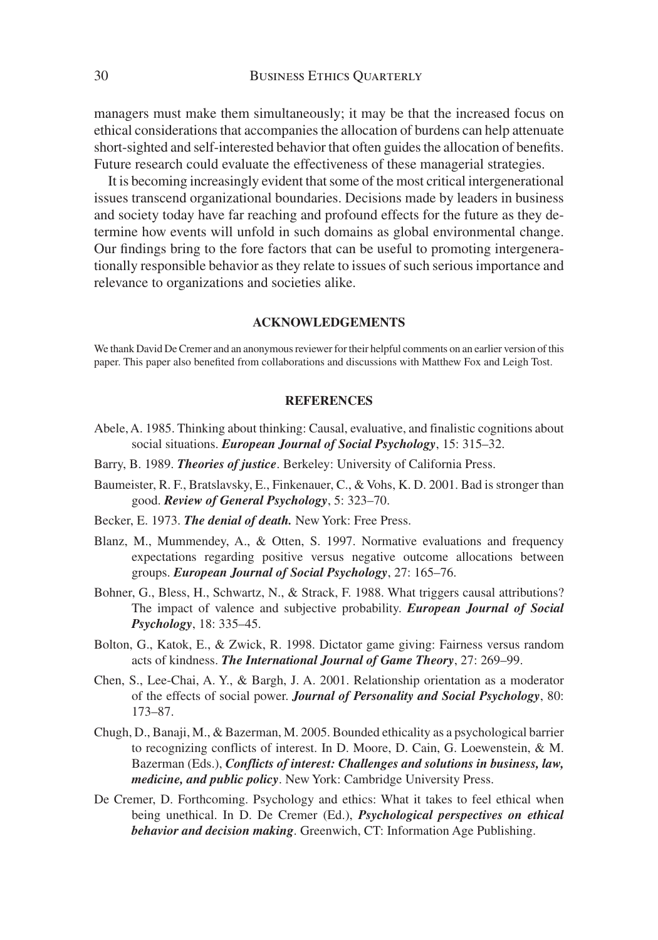managers must make them simultaneously; it may be that the increased focus on ethical considerations that accompanies the allocation of burdens can help attenuate short-sighted and self-interested behavior that often guides the allocation of benefits. Future research could evaluate the effectiveness of these managerial strategies.

It is becoming increasingly evident that some of the most critical intergenerational issues transcend organizational boundaries. Decisions made by leaders in business and society today have far reaching and profound effects for the future as they determine how events will unfold in such domains as global environmental change. Our findings bring to the fore factors that can be useful to promoting intergenerationally responsible behavior as they relate to issues of such serious importance and relevance to organizations and societies alike.

#### **ACKNOWLEDGEMENTS**

We thank David De Cremer and an anonymous reviewer for their helpful comments on an earlier version of this paper. This paper also benefited from collaborations and discussions with Matthew Fox and Leigh Tost.

#### **REFERENCES**

- Abele, A. 1985. Thinking about thinking: Causal, evaluative, and finalistic cognitions about social situations. *European Journal of Social Psychology*, 15: 315–32.
- Barry, B. 1989. *Theories of justice*. Berkeley: University of California Press.
- Baumeister, R. F., Bratslavsky, E., Finkenauer, C., & Vohs, K. D. 2001. Bad is stronger than good. *Review of General Psychology*, 5: 323–70.
- Becker, E. 1973. *The denial of death.* New York: Free Press.
- Blanz, M., Mummendey, A., & Otten, S. 1997. Normative evaluations and frequency expectations regarding positive versus negative outcome allocations between groups. *European Journal of Social Psychology*, 27: 165–76.
- Bohner, G., Bless, H., Schwartz, N., & Strack, F. 1988. What triggers causal attributions? The impact of valence and subjective probability. *European Journal of Social Psychology*, 18: 335–45.
- Bolton, G., Katok, E., & Zwick, R. 1998. Dictator game giving: Fairness versus random acts of kindness. *The International Journal of Game Theory*, 27: 269–99.
- Chen, S., Lee-Chai, A. Y., & Bargh, J. A. 2001. Relationship orientation as a moderator of the effects of social power. *Journal of Personality and Social Psychology*, 80: 173–87.
- Chugh, D., Banaji, M., & Bazerman, M. 2005. Bounded ethicality as a psychological barrier to recognizing conflicts of interest. In D. Moore, D. Cain, G. Loewenstein, & M. Bazerman (Eds.), *Conflicts of interest: Challenges and solutions in business, law, medicine, and public policy*. New York: Cambridge University Press.
- De Cremer, D. Forthcoming. Psychology and ethics: What it takes to feel ethical when being unethical. In D. De Cremer (Ed.), *Psychological perspectives on ethical behavior and decision making*. Greenwich, CT: Information Age Publishing.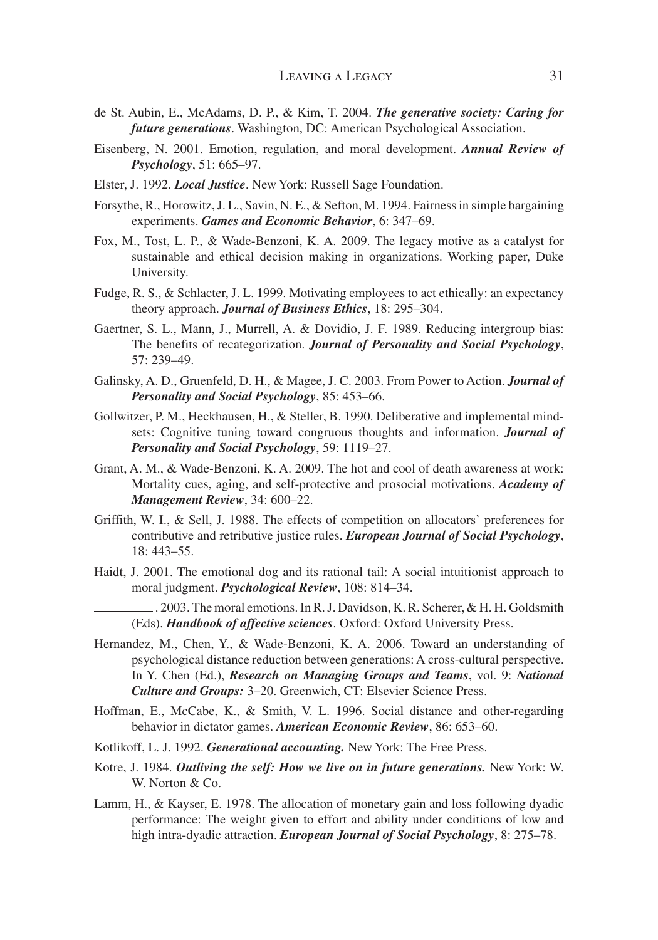- de St. Aubin, E., McAdams, D. P., & Kim, T. 2004. *The generative society: Caring for future generations*. Washington, DC: American Psychological Association.
- Eisenberg, N. 2001. Emotion, regulation, and moral development. *Annual Review of Psychology*, 51: 665–97.
- Elster, J. 1992. *Local Justice*. New York: Russell Sage Foundation.
- Forsythe, R., Horowitz, J. L., Savin, N. E., & Sefton, M. 1994. Fairness in simple bargaining experiments. *Games and Economic Behavior*, 6: 347–69.
- Fox, M., Tost, L. P., & Wade-Benzoni, K. A. 2009. The legacy motive as a catalyst for sustainable and ethical decision making in organizations. Working paper, Duke University.
- Fudge, R. S., & Schlacter, J. L. 1999. Motivating employees to act ethically: an expectancy theory approach. *Journal of Business Ethics*, 18: 295–304.
- Gaertner, S. L., Mann, J., Murrell, A. & Dovidio, J. F. 1989. Reducing intergroup bias: The benefits of recategorization. *Journal of Personality and Social Psychology*, 57: 239–49.
- Galinsky, A. D., Gruenfeld, D. H., & Magee, J. C. 2003. From Power to Action. *Journal of Personality and Social Psychology*, 85: 453–66.
- Gollwitzer, P. M., Heckhausen, H., & Steller, B. 1990. Deliberative and implemental mindsets: Cognitive tuning toward congruous thoughts and information. *Journal of Personality and Social Psychology*, 59: 1119–27.
- Grant, A. M., & Wade-Benzoni, K. A. 2009. The hot and cool of death awareness at work: Mortality cues, aging, and self-protective and prosocial motivations. *Academy of Management Review*, 34: 600–22.
- Griffith, W. I., & Sell, J. 1988. The effects of competition on allocators' preferences for contributive and retributive justice rules. *European Journal of Social Psychology*, 18: 443–55.
- Haidt, J. 2001. The emotional dog and its rational tail: A social intuitionist approach to moral judgment. *Psychological Review*, 108: 814–34.
	- . 2003. The moral emotions. In R. J. Davidson, K. R. Scherer, & H. H. Goldsmith (Eds). *Handbook of affective sciences*. Oxford: Oxford University Press.
- Hernandez, M., Chen, Y., & Wade-Benzoni, K. A. 2006. Toward an understanding of psychological distance reduction between generations: A cross-cultural perspective. In Y. Chen (Ed.), *Research on Managing Groups and Teams*, vol. 9: *National Culture and Groups:* 3–20. Greenwich, CT: Elsevier Science Press.
- Hoffman, E., McCabe, K., & Smith, V. L. 1996. Social distance and other-regarding behavior in dictator games. *American Economic Review*, 86: 653–60.
- Kotlikoff, L. J. 1992. *Generational accounting.* New York: The Free Press.
- Kotre, J. 1984. *Outliving the self: How we live on in future generations.* New York: W. W. Norton & Co.
- Lamm, H., & Kayser, E. 1978. The allocation of monetary gain and loss following dyadic performance: The weight given to effort and ability under conditions of low and high intra-dyadic attraction. *European Journal of Social Psychology*, 8: 275–78.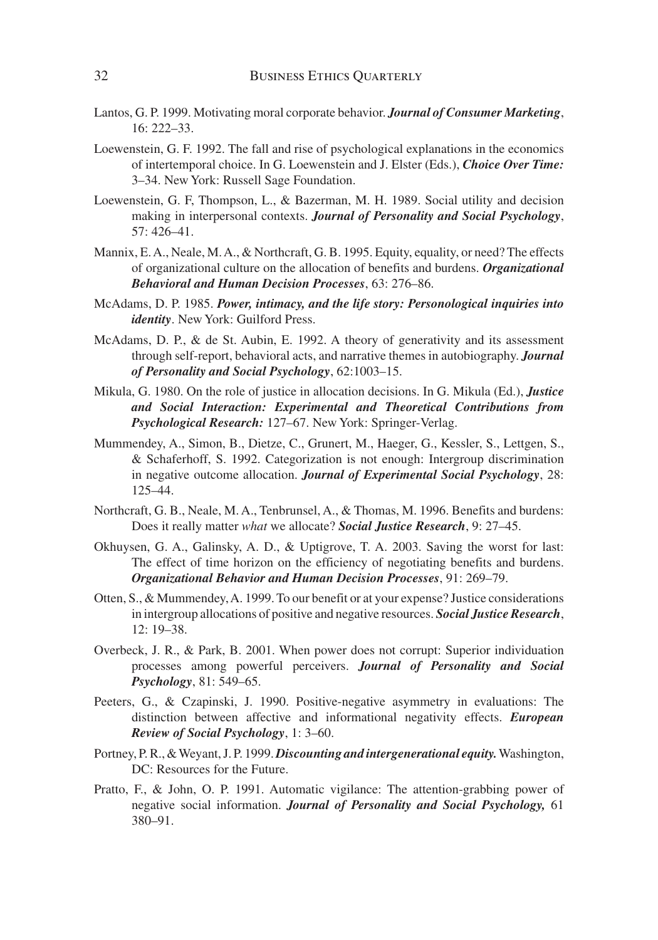- Lantos, G. P. 1999. Motivating moral corporate behavior. *Journal of Consumer Marketing*, 16: 222–33.
- Loewenstein, G. F. 1992. The fall and rise of psychological explanations in the economics of intertemporal choice. In G. Loewenstein and J. Elster (Eds.), *Choice Over Time:* 3–34. New York: Russell Sage Foundation.
- Loewenstein, G. F, Thompson, L., & Bazerman, M. H. 1989. Social utility and decision making in interpersonal contexts. *Journal of Personality and Social Psychology*, 57: 426–41.
- Mannix, E. A., Neale, M. A., & Northcraft, G. B. 1995. Equity, equality, or need? The effects of organizational culture on the allocation of benefits and burdens. *Organizational Behavioral and Human Decision Processes*, 63: 276–86.
- McAdams, D. P. 1985. *Power, intimacy, and the life story: Personological inquiries into identity*. New York: Guilford Press.
- McAdams, D. P., & de St. Aubin, E. 1992. A theory of generativity and its assessment through self-report, behavioral acts, and narrative themes in autobiography. *Journal of Personality and Social Psychology*, 62:1003–15.
- Mikula, G. 1980. On the role of justice in allocation decisions. In G. Mikula (Ed.), *Justice and Social Interaction: Experimental and Theoretical Contributions from Psychological Research:* 127–67. New York: Springer-Verlag.
- Mummendey, A., Simon, B., Dietze, C., Grunert, M., Haeger, G., Kessler, S., Lettgen, S., & Schaferhoff, S. 1992. Categorization is not enough: Intergroup discrimination in negative outcome allocation. *Journal of Experimental Social Psychology*, 28: 125–44.
- Northcraft, G. B., Neale, M. A., Tenbrunsel, A., & Thomas, M. 1996. Benefits and burdens: Does it really matter *what* we allocate? *Social Justice Research*, 9: 27–45.
- Okhuysen, G. A., Galinsky, A. D., & Uptigrove, T. A. 2003. Saving the worst for last: The effect of time horizon on the efficiency of negotiating benefits and burdens. *Organizational Behavior and Human Decision Processes*, 91: 269–79.
- Otten, S., & Mummendey, A. 1999. To our benefit or at your expense? Justice considerations in intergroup allocations of positive and negative resources. *Social Justice Research*, 12: 19–38.
- Overbeck, J. R., & Park, B. 2001. When power does not corrupt: Superior individuation processes among powerful perceivers. *Journal of Personality and Social Psychology*, 81: 549–65.
- Peeters, G., & Czapinski, J. 1990. Positive-negative asymmetry in evaluations: The distinction between affective and informational negativity effects. *European Review of Social Psychology*, 1: 3–60.
- Portney, P. R., & Weyant, J. P. 1999. *Discounting and intergenerational equity.* Washington, DC: Resources for the Future.
- Pratto, F., & John, O. P. 1991. Automatic vigilance: The attention-grabbing power of negative social information. *Journal of Personality and Social Psychology,* 61 380–91.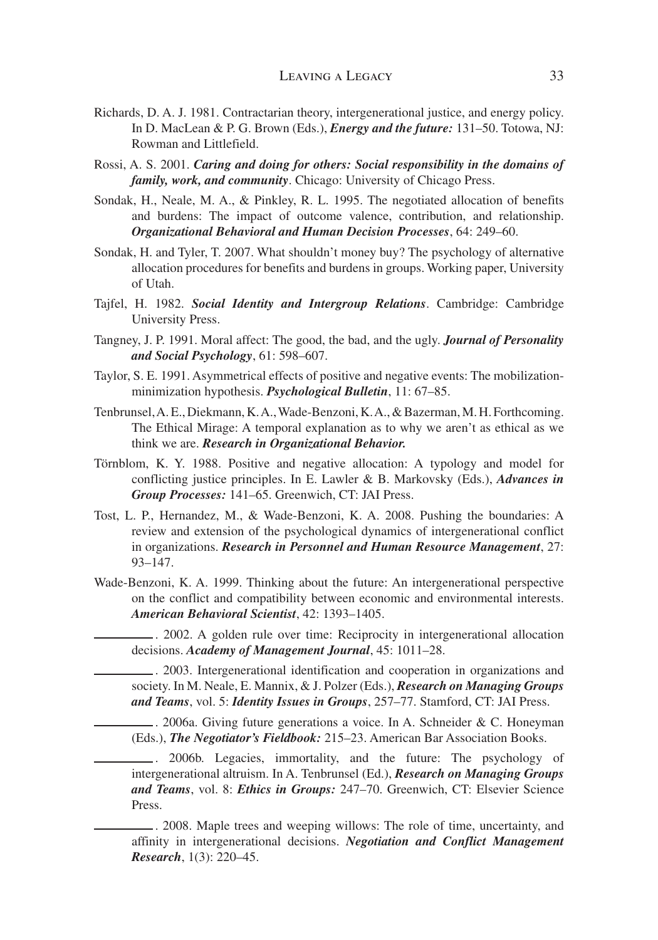- Richards, D. A. J. 1981. Contractarian theory, intergenerational justice, and energy policy. In D. MacLean & P. G. Brown (Eds.), *Energy and the future:* 131–50. Totowa, NJ: Rowman and Littlefield.
- Rossi, A. S. 2001. *Caring and doing for others: Social responsibility in the domains of family, work, and community*. Chicago: University of Chicago Press.
- Sondak, H., Neale, M. A., & Pinkley, R. L. 1995. The negotiated allocation of benefits and burdens: The impact of outcome valence, contribution, and relationship. *Organizational Behavioral and Human Decision Processes*, 64: 249–60.
- Sondak, H. and Tyler, T. 2007. What shouldn't money buy? The psychology of alternative allocation procedures for benefits and burdens in groups. Working paper, University of Utah.
- Tajfel, H. 1982. *Social Identity and Intergroup Relations*. Cambridge: Cambridge University Press.
- Tangney, J. P. 1991. Moral affect: The good, the bad, and the ugly. *Journal of Personality and Social Psychology*, 61: 598–607.
- Taylor, S. E. 1991. Asymmetrical effects of positive and negative events: The mobilizationminimization hypothesis. *Psychological Bulletin*, 11: 67–85.
- Tenbrunsel, A. E., Diekmann, K. A., Wade-Benzoni, K. A., & Bazerman, M. H. Forthcoming. The Ethical Mirage: A temporal explanation as to why we aren't as ethical as we think we are. *Research in Organizational Behavior.*
- Törnblom, K. Y. 1988. Positive and negative allocation: A typology and model for conflicting justice principles. In E. Lawler & B. Markovsky (Eds.), *Advances in Group Processes:* 141–65. Greenwich, CT: JAI Press.
- Tost, L. P., Hernandez, M., & Wade-Benzoni, K. A. 2008. Pushing the boundaries: A review and extension of the psychological dynamics of intergenerational conflict in organizations. *Research in Personnel and Human Resource Management*, 27: 93–147.
- Wade-Benzoni, K. A. 1999. Thinking about the future: An intergenerational perspective on the conflict and compatibility between economic and environmental interests. *American Behavioral Scientist*, 42: 1393–1405.

. 2002. A golden rule over time: Reciprocity in intergenerational allocation decisions. *Academy of Management Journal*, 45: 1011–28.

. 2003. Intergenerational identification and cooperation in organizations and society. In M. Neale, E. Mannix, & J. Polzer (Eds.), *Research on Managing Groups and Teams*, vol. 5: *Identity Issues in Groups*, 257–77. Stamford, CT: JAI Press.

. 2006a. Giving future generations a voice. In A. Schneider & C. Honeyman (Eds.), *The Negotiator's Fieldbook:* 215–23. American Bar Association Books.

. 2006b. Legacies, immortality, and the future: The psychology of intergenerational altruism. In A. Tenbrunsel (Ed.), *Research on Managing Groups and Teams*, vol. 8: *Ethics in Groups:* 247–70. Greenwich, CT: Elsevier Science Press.

. 2008. Maple trees and weeping willows: The role of time, uncertainty, and affinity in intergenerational decisions. *Negotiation and Conflict Management Research*, 1(3): 220–45.